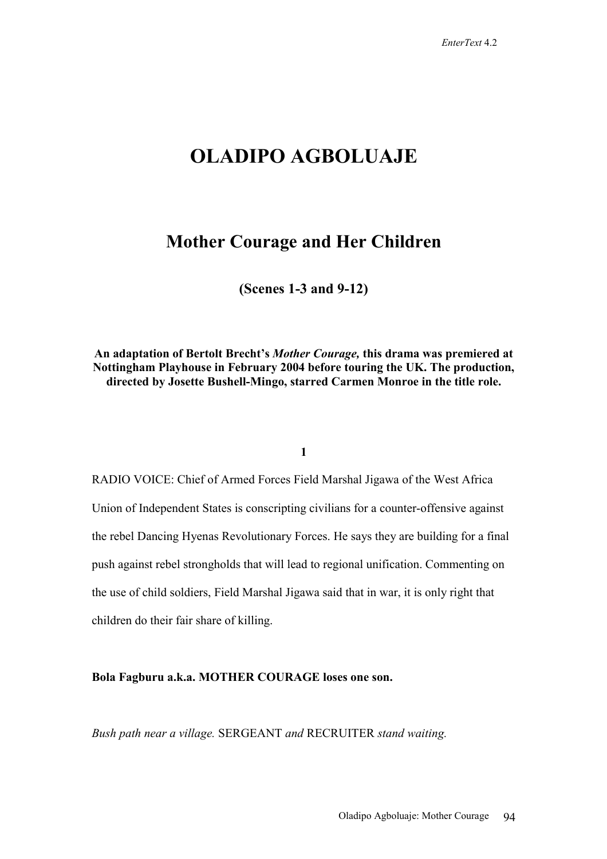# **OLADIPO AGBOLUAJE**

# **Mother Courage and Her Children**

**(Scenes 1-3 and 9-12)** 

**An adaptation of Bertolt Brecht's** *Mother Courage,* **this drama was premiered at Nottingham Playhouse in February 2004 before touring the UK. The production, directed by Josette Bushell-Mingo, starred Carmen Monroe in the title role.**

# **1**

RADIO VOICE: Chief of Armed Forces Field Marshal Jigawa of the West Africa Union of Independent States is conscripting civilians for a counter-offensive against the rebel Dancing Hyenas Revolutionary Forces. He says they are building for a final push against rebel strongholds that will lead to regional unification. Commenting on the use of child soldiers, Field Marshal Jigawa said that in war, it is only right that children do their fair share of killing.

**Bola Fagburu a.k.a. MOTHER COURAGE loses one son.** 

*Bush path near a village.* SERGEANT *and* RECRUITER *stand waiting.*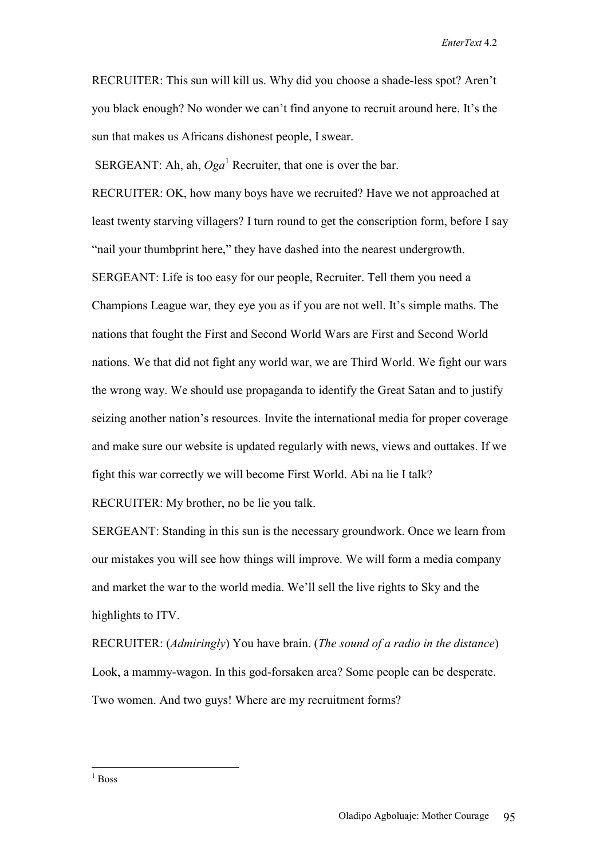*EnterText* 4.2

RECRUITER: This sun will kill us. Why did you choose a shade-less spot? Aren't you black enough? No wonder we can't find anyone to recruit around here. It's the sun that makes us Africans dishonest people, I swear.

SERGEANT: Ah, ah,  $Oga<sup>1</sup>$  Recruiter, that one is over the bar.

RECRUITER: OK, how many boys have we recruited? Have we not approached at least twenty starving villagers? I turn round to get the conscription form, before I say "nail your thumbprint here," they have dashed into the nearest undergrowth. SERGEANT: Life is too easy for our people, Recruiter. Tell them you need a Champions League war, they eye you as if you are not well. It's simple maths. The nations that fought the First and Second World Wars are First and Second World nations. We that did not fight any world war, we are Third World. We fight our wars the wrong way. We should use propaganda to identify the Great Satan and to justify seizing another nation's resources. Invite the international media for proper coverage and make sure our website is updated regularly with news, views and outtakes. If we fight this war correctly we will become First World. Abi na lie I talk?

RECRUITER: My brother, no be lie you talk.

SERGEANT: Standing in this sun is the necessary groundwork. Once we learn from our mistakes you will see how things will improve. We will form a media company and market the war to the world media. We'll sell the live rights to Sky and the highlights to ITV.

RECRUITER: (*Admiringly*) You have brain. (*The sound of a radio in the distance*) Look, a mammy-wagon. In this god-forsaken area? Some people can be desperate. Two women. And two guys! Where are my recruitment forms?

 $1$  Boss

 $\overline{a}$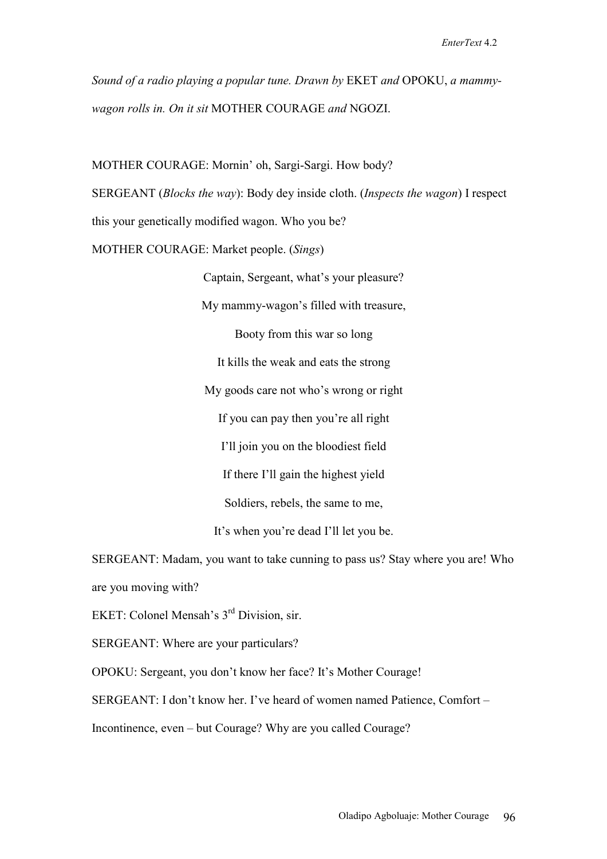*Sound of a radio playing a popular tune. Drawn by* EKET *and* OPOKU, *a mammywagon rolls in. On it sit* MOTHER COURAGE *and* NGOZI.

MOTHER COURAGE: Mornin' oh, Sargi-Sargi. How body? SERGEANT (*Blocks the way*): Body dey inside cloth. (*Inspects the wagon*) I respect this your genetically modified wagon. Who you be? MOTHER COURAGE: Market people. (*Sings*) Captain, Sergeant, what's your pleasure? My mammy-wagon's filled with treasure, Booty from this war so long It kills the weak and eats the strong My goods care not who's wrong or right If you can pay then you're all right I'll join you on the bloodiest field If there I'll gain the highest yield Soldiers, rebels, the same to me, It's when you're dead I'll let you be.

SERGEANT: Madam, you want to take cunning to pass us? Stay where you are! Who are you moving with?

EKET: Colonel Mensah's 3rd Division, sir.

SERGEANT: Where are your particulars?

OPOKU: Sergeant, you don't know her face? It's Mother Courage!

SERGEANT: I don't know her. I've heard of women named Patience, Comfort –

Incontinence, even – but Courage? Why are you called Courage?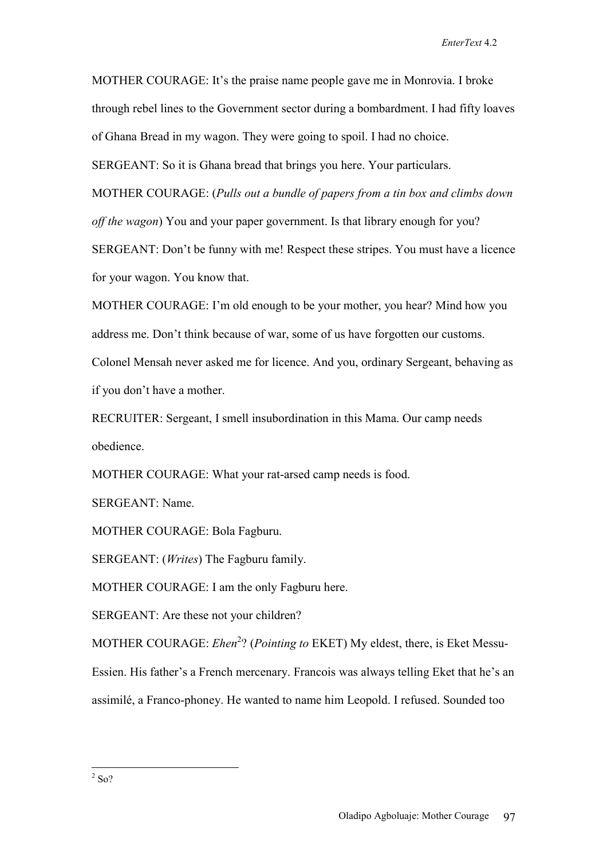MOTHER COURAGE: It's the praise name people gave me in Monrovia. I broke through rebel lines to the Government sector during a bombardment. I had fifty loaves of Ghana Bread in my wagon. They were going to spoil. I had no choice.

SERGEANT: So it is Ghana bread that brings you here. Your particulars.

MOTHER COURAGE: (*Pulls out a bundle of papers from a tin box and climbs down off the wagon*) You and your paper government. Is that library enough for you?

SERGEANT: Don't be funny with me! Respect these stripes. You must have a licence for your wagon. You know that.

MOTHER COURAGE: I'm old enough to be your mother, you hear? Mind how you address me. Don't think because of war, some of us have forgotten our customs. Colonel Mensah never asked me for licence. And you, ordinary Sergeant, behaving as if you don't have a mother.

RECRUITER: Sergeant, I smell insubordination in this Mama. Our camp needs obedience.

MOTHER COURAGE: What your rat-arsed camp needs is food.

SERGEANT: Name.

MOTHER COURAGE: Bola Fagburu.

SERGEANT: (*Writes*) The Fagburu family.

MOTHER COURAGE: I am the only Fagburu here.

SERGEANT: Are these not your children?

MOTHER COURAGE: *Ehen<sup>2</sup>?* (*Pointing to* EKET) My eldest, there, is Eket Messu-Essien. His father's a French mercenary. Francois was always telling Eket that he's an assimilé, a Franco-phoney. He wanted to name him Leopold. I refused. Sounded too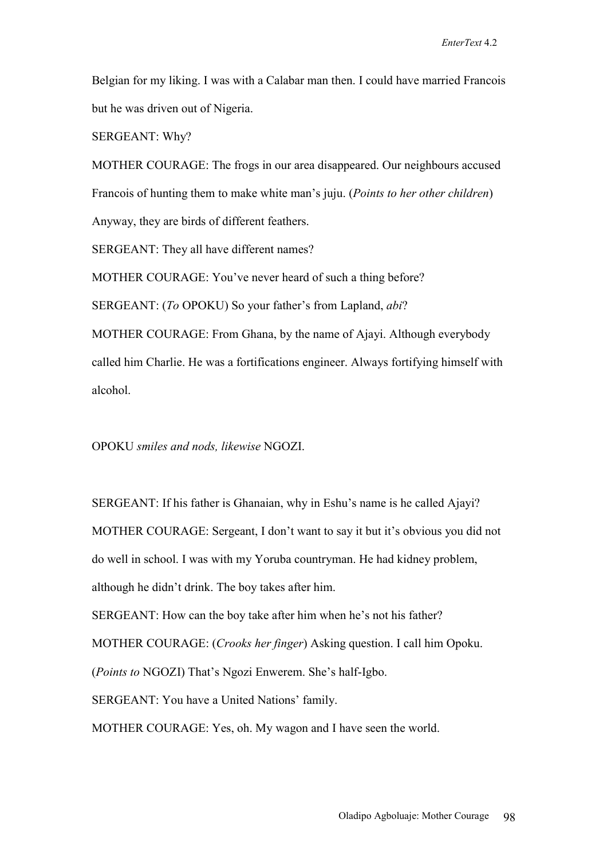Belgian for my liking. I was with a Calabar man then. I could have married Francois but he was driven out of Nigeria.

SERGEANT: Why?

MOTHER COURAGE: The frogs in our area disappeared. Our neighbours accused Francois of hunting them to make white man's juju. (*Points to her other children*) Anyway, they are birds of different feathers.

SERGEANT: They all have different names?

MOTHER COURAGE: You've never heard of such a thing before?

SERGEANT: (*To* OPOKU) So your father's from Lapland, *abi*?

MOTHER COURAGE: From Ghana, by the name of Ajayi. Although everybody called him Charlie. He was a fortifications engineer. Always fortifying himself with alcohol.

OPOKU *smiles and nods, likewise* NGOZI.

SERGEANT: If his father is Ghanaian, why in Eshu's name is he called Ajayi? MOTHER COURAGE: Sergeant, I don't want to say it but it's obvious you did not do well in school. I was with my Yoruba countryman. He had kidney problem, although he didn't drink. The boy takes after him. SERGEANT: How can the boy take after him when he's not his father? MOTHER COURAGE: (*Crooks her finger*) Asking question. I call him Opoku. (*Points to* NGOZI) That's Ngozi Enwerem. She's half-Igbo. SERGEANT: You have a United Nations' family.

MOTHER COURAGE: Yes, oh. My wagon and I have seen the world.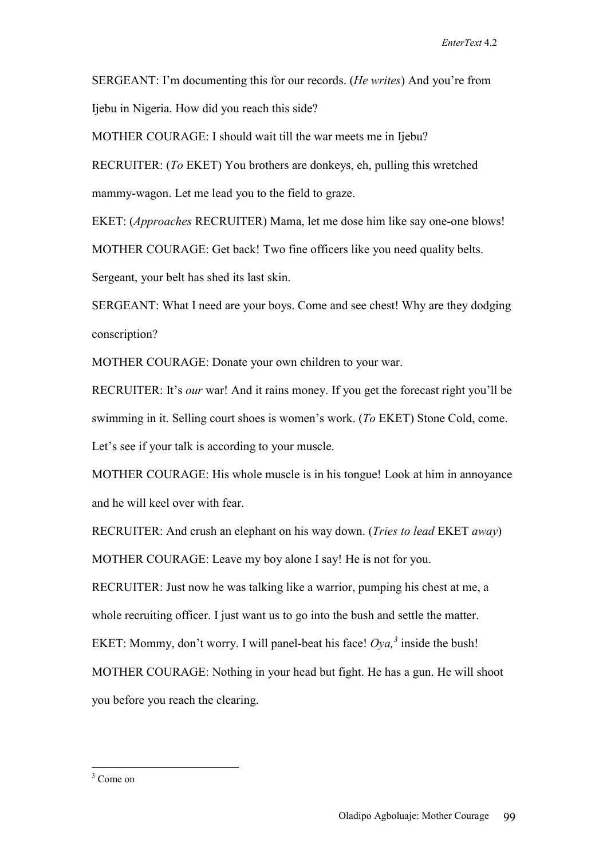SERGEANT: I'm documenting this for our records. (*He writes*) And you're from Ijebu in Nigeria. How did you reach this side?

MOTHER COURAGE: I should wait till the war meets me in Ijebu?

RECRUITER: (*To* EKET) You brothers are donkeys, eh, pulling this wretched mammy-wagon. Let me lead you to the field to graze.

EKET: (*Approaches* RECRUITER) Mama, let me dose him like say one-one blows!

MOTHER COURAGE: Get back! Two fine officers like you need quality belts.

Sergeant, your belt has shed its last skin.

SERGEANT: What I need are your boys. Come and see chest! Why are they dodging conscription?

MOTHER COURAGE: Donate your own children to your war.

RECRUITER: It's *our* war! And it rains money. If you get the forecast right you'll be swimming in it. Selling court shoes is women's work. (*To* EKET) Stone Cold, come. Let's see if your talk is according to your muscle.

MOTHER COURAGE: His whole muscle is in his tongue! Look at him in annoyance and he will keel over with fear.

RECRUITER: And crush an elephant on his way down. (*Tries to lead* EKET *away*) MOTHER COURAGE: Leave my boy alone I say! He is not for you.

RECRUITER: Just now he was talking like a warrior, pumping his chest at me, a whole recruiting officer. I just want us to go into the bush and settle the matter. EKET: Mommy, don't worry. I will panel-beat his face!  $Ova<sup>3</sup>$  inside the bush! MOTHER COURAGE: Nothing in your head but fight. He has a gun. He will shoot you before you reach the clearing.

 $\overline{a}$ 

<sup>3</sup> Come on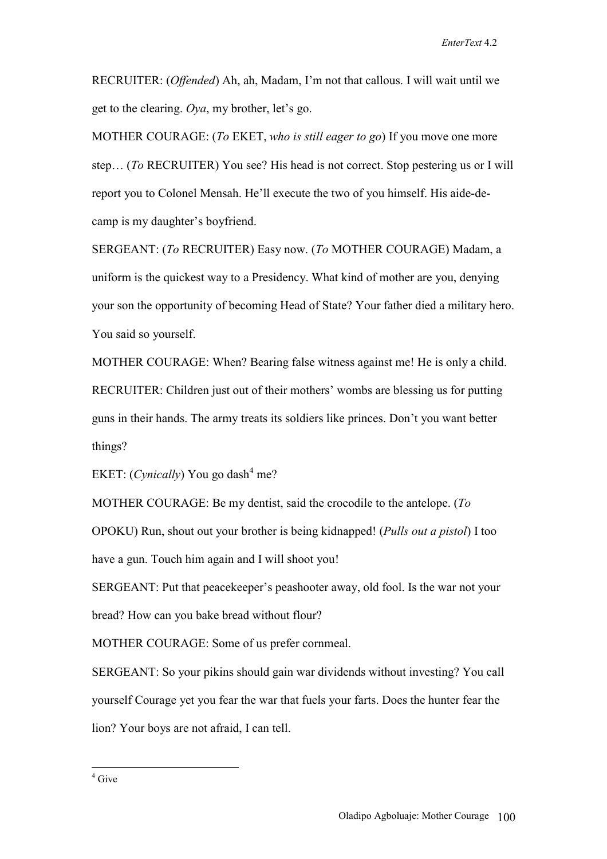RECRUITER: (*Offended*) Ah, ah, Madam, I'm not that callous. I will wait until we get to the clearing. *Oya*, my brother, let's go.

MOTHER COURAGE: (*To* EKET, *who is still eager to go*) If you move one more step… (*To* RECRUITER) You see? His head is not correct. Stop pestering us or I will report you to Colonel Mensah. He'll execute the two of you himself. His aide-decamp is my daughter's boyfriend.

SERGEANT: (*To* RECRUITER) Easy now. (*To* MOTHER COURAGE) Madam, a uniform is the quickest way to a Presidency. What kind of mother are you, denying your son the opportunity of becoming Head of State? Your father died a military hero. You said so yourself.

MOTHER COURAGE: When? Bearing false witness against me! He is only a child. RECRUITER: Children just out of their mothers' wombs are blessing us for putting guns in their hands. The army treats its soldiers like princes. Don't you want better things?

EKET: (*Cynically*) You go dash<sup>4</sup> me?

MOTHER COURAGE: Be my dentist, said the crocodile to the antelope. (*To*  OPOKU) Run, shout out your brother is being kidnapped! (*Pulls out a pistol*) I too have a gun. Touch him again and I will shoot you!

SERGEANT: Put that peacekeeper's peashooter away, old fool. Is the war not your bread? How can you bake bread without flour?

MOTHER COURAGE: Some of us prefer cornmeal.

SERGEANT: So your pikins should gain war dividends without investing? You call yourself Courage yet you fear the war that fuels your farts. Does the hunter fear the lion? Your boys are not afraid, I can tell.

<sup>4</sup> Give

 $\overline{a}$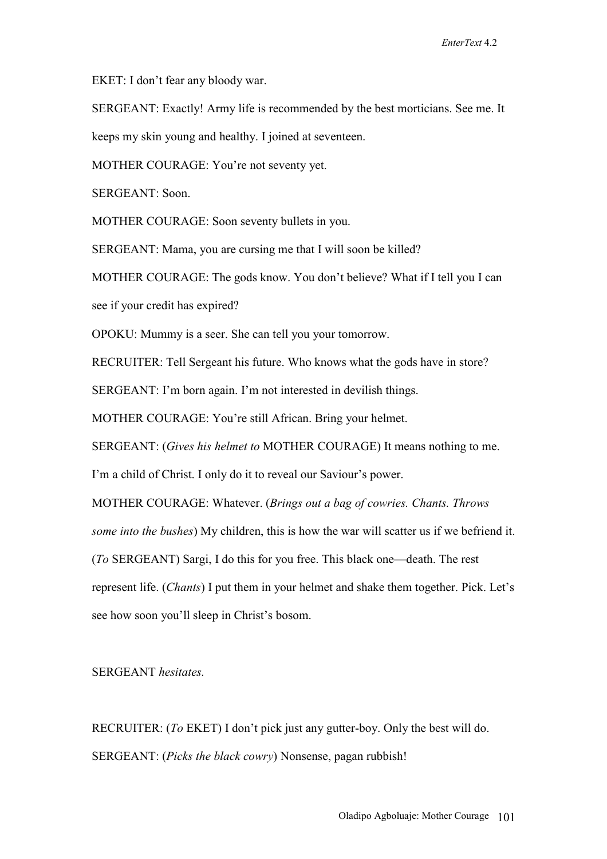EKET: I don't fear any bloody war.

SERGEANT: Exactly! Army life is recommended by the best morticians. See me. It

keeps my skin young and healthy. I joined at seventeen.

MOTHER COURAGE: You're not seventy yet.

SERGEANT: Soon.

MOTHER COURAGE: Soon seventy bullets in you.

SERGEANT: Mama, you are cursing me that I will soon be killed?

MOTHER COURAGE: The gods know. You don't believe? What if I tell you I can see if your credit has expired?

OPOKU: Mummy is a seer. She can tell you your tomorrow.

RECRUITER: Tell Sergeant his future. Who knows what the gods have in store?

SERGEANT: I'm born again. I'm not interested in devilish things.

MOTHER COURAGE: You're still African. Bring your helmet.

SERGEANT: (*Gives his helmet to* MOTHER COURAGE) It means nothing to me.

I'm a child of Christ. I only do it to reveal our Saviour's power.

MOTHER COURAGE: Whatever. (*Brings out a bag of cowries. Chants. Throws some into the bushes*) My children, this is how the war will scatter us if we befriend it. (*To* SERGEANT) Sargi, I do this for you free. This black one—death. The rest represent life. (*Chants*) I put them in your helmet and shake them together. Pick. Let's see how soon you'll sleep in Christ's bosom.

SERGEANT *hesitates.* 

RECRUITER: (*To* EKET) I don't pick just any gutter-boy. Only the best will do. SERGEANT: (*Picks the black cowry*) Nonsense, pagan rubbish!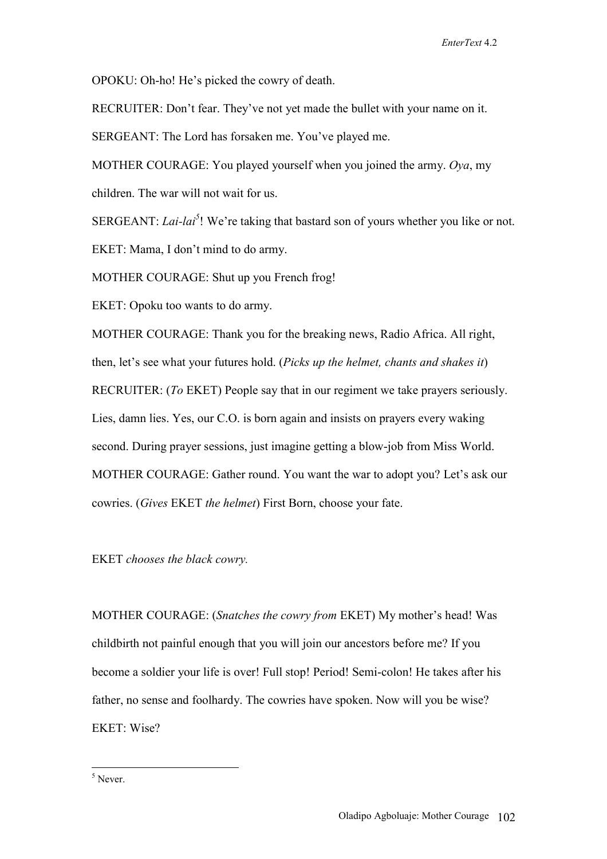*EnterText* 4.2

OPOKU: Oh-ho! He's picked the cowry of death.

RECRUITER: Don't fear. They've not yet made the bullet with your name on it.

SERGEANT: The Lord has forsaken me. You've played me.

MOTHER COURAGE: You played yourself when you joined the army. *Oya*, my children. The war will not wait for us.

SERGEANT: *Lai-lai*<sup>5</sup>! We're taking that bastard son of yours whether you like or not.

EKET: Mama, I don't mind to do army.

MOTHER COURAGE: Shut up you French frog!

EKET: Opoku too wants to do army.

MOTHER COURAGE: Thank you for the breaking news, Radio Africa. All right, then, let's see what your futures hold. (*Picks up the helmet, chants and shakes it*) RECRUITER: (*To* EKET) People say that in our regiment we take prayers seriously. Lies, damn lies. Yes, our C.O. is born again and insists on prayers every waking second. During prayer sessions, just imagine getting a blow-job from Miss World. MOTHER COURAGE: Gather round. You want the war to adopt you? Let's ask our cowries. (*Gives* EKET *the helmet*) First Born, choose your fate.

EKET *chooses the black cowry.* 

MOTHER COURAGE: (*Snatches the cowry from* EKET) My mother's head! Was childbirth not painful enough that you will join our ancestors before me? If you become a soldier your life is over! Full stop! Period! Semi-colon! He takes after his father, no sense and foolhardy. The cowries have spoken. Now will you be wise? EKET: Wise?

 $\overline{a}$ 

<sup>&</sup>lt;sup>5</sup> Never.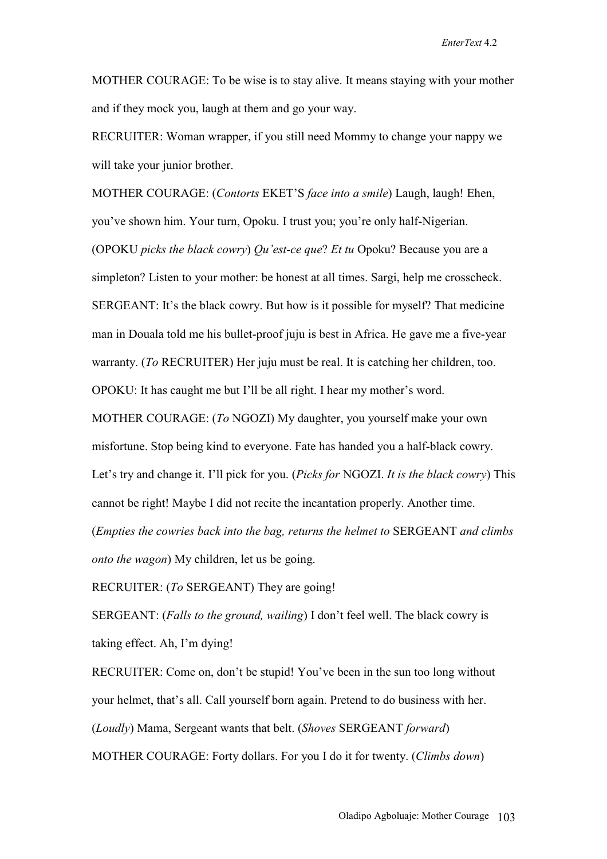*EnterText* 4.2

MOTHER COURAGE: To be wise is to stay alive. It means staying with your mother and if they mock you, laugh at them and go your way.

RECRUITER: Woman wrapper, if you still need Mommy to change your nappy we will take your junior brother.

MOTHER COURAGE: (*Contorts* EKET'S *face into a smile*) Laugh, laugh! Ehen, you've shown him. Your turn, Opoku. I trust you; you're only half-Nigerian. (OPOKU *picks the black cowry*) *Qu'est-ce que*? *Et tu* Opoku? Because you are a simpleton? Listen to your mother: be honest at all times. Sargi, help me crosscheck. SERGEANT: It's the black cowry. But how is it possible for myself? That medicine man in Douala told me his bullet-proof juju is best in Africa. He gave me a five-year warranty. (*To* RECRUITER) Her juju must be real. It is catching her children, too. OPOKU: It has caught me but I'll be all right. I hear my mother's word.

MOTHER COURAGE: (*To* NGOZI) My daughter, you yourself make your own misfortune. Stop being kind to everyone. Fate has handed you a half-black cowry. Let's try and change it. I'll pick for you. (*Picks for* NGOZI. *It is the black cowry*) This cannot be right! Maybe I did not recite the incantation properly. Another time. (*Empties the cowries back into the bag, returns the helmet to* SERGEANT *and climbs onto the wagon*) My children, let us be going.

RECRUITER: (*To* SERGEANT) They are going!

SERGEANT: (*Falls to the ground, wailing*) I don't feel well. The black cowry is taking effect. Ah, I'm dying!

RECRUITER: Come on, don't be stupid! You've been in the sun too long without your helmet, that's all. Call yourself born again. Pretend to do business with her. (*Loudly*) Mama, Sergeant wants that belt. (*Shoves* SERGEANT *forward*) MOTHER COURAGE: Forty dollars. For you I do it for twenty. (*Climbs down*)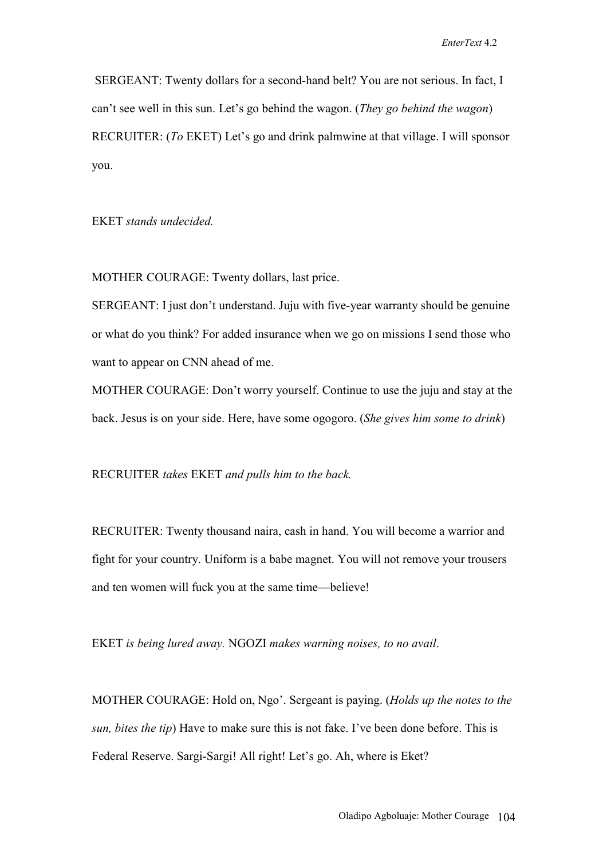SERGEANT: Twenty dollars for a second-hand belt? You are not serious. In fact, I can't see well in this sun. Let's go behind the wagon. (*They go behind the wagon*) RECRUITER: (*To* EKET) Let's go and drink palmwine at that village. I will sponsor you.

EKET *stands undecided.* 

MOTHER COURAGE: Twenty dollars, last price.

SERGEANT: I just don't understand. Juju with five-year warranty should be genuine or what do you think? For added insurance when we go on missions I send those who want to appear on CNN ahead of me.

MOTHER COURAGE: Don't worry yourself. Continue to use the juju and stay at the back. Jesus is on your side. Here, have some ogogoro. (*She gives him some to drink*)

RECRUITER *takes* EKET *and pulls him to the back.* 

RECRUITER: Twenty thousand naira, cash in hand. You will become a warrior and fight for your country. Uniform is a babe magnet. You will not remove your trousers and ten women will fuck you at the same time—believe!

EKET *is being lured away.* NGOZI *makes warning noises, to no avail*.

MOTHER COURAGE: Hold on, Ngo'. Sergeant is paying. (*Holds up the notes to the sun, bites the tip*) Have to make sure this is not fake. I've been done before. This is Federal Reserve. Sargi-Sargi! All right! Let's go. Ah, where is Eket?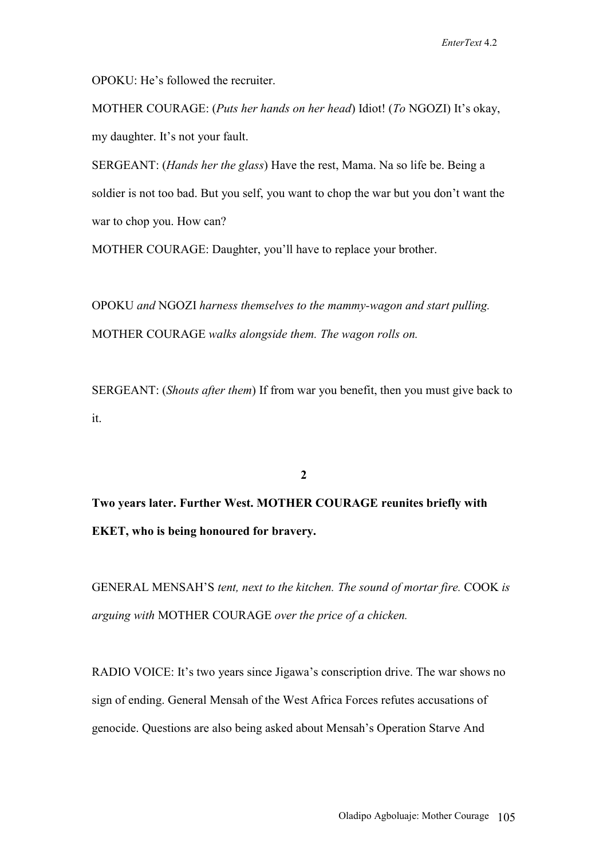OPOKU: He's followed the recruiter.

MOTHER COURAGE: (*Puts her hands on her head*) Idiot! (*To* NGOZI) It's okay, my daughter. It's not your fault.

SERGEANT: (*Hands her the glass*) Have the rest, Mama. Na so life be. Being a soldier is not too bad. But you self, you want to chop the war but you don't want the war to chop you. How can?

MOTHER COURAGE: Daughter, you'll have to replace your brother.

OPOKU *and* NGOZI *harness themselves to the mammy-wagon and start pulling.*  MOTHER COURAGE *walks alongside them. The wagon rolls on.*

SERGEANT: (*Shouts after them*) If from war you benefit, then you must give back to it.

**2** 

**Two years later. Further West. MOTHER COURAGE reunites briefly with EKET, who is being honoured for bravery.** 

GENERAL MENSAH'S *tent, next to the kitchen. The sound of mortar fire.* COOK *is arguing with* MOTHER COURAGE *over the price of a chicken.*

RADIO VOICE: It's two years since Jigawa's conscription drive. The war shows no sign of ending. General Mensah of the West Africa Forces refutes accusations of genocide. Questions are also being asked about Mensah's Operation Starve And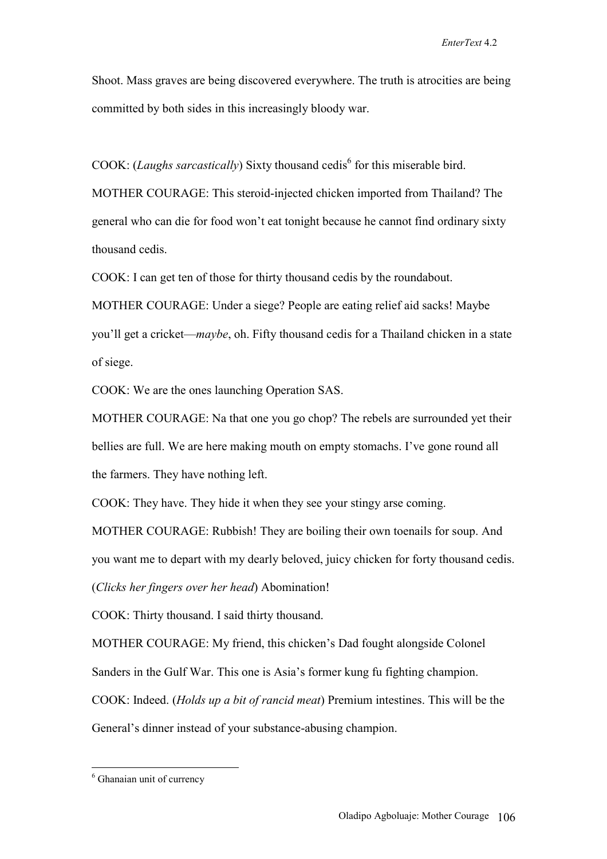Shoot. Mass graves are being discovered everywhere. The truth is atrocities are being committed by both sides in this increasingly bloody war.

COOK: (*Laughs sarcastically*) Sixty thousand cedis<sup>6</sup> for this miserable bird.

MOTHER COURAGE: This steroid-injected chicken imported from Thailand? The general who can die for food won't eat tonight because he cannot find ordinary sixty thousand cedis.

COOK: I can get ten of those for thirty thousand cedis by the roundabout.

MOTHER COURAGE: Under a siege? People are eating relief aid sacks! Maybe you'll get a cricket—*maybe*, oh. Fifty thousand cedis for a Thailand chicken in a state of siege.

COOK: We are the ones launching Operation SAS.

MOTHER COURAGE: Na that one you go chop? The rebels are surrounded yet their bellies are full. We are here making mouth on empty stomachs. I've gone round all the farmers. They have nothing left.

COOK: They have. They hide it when they see your stingy arse coming.

MOTHER COURAGE: Rubbish! They are boiling their own toenails for soup. And

you want me to depart with my dearly beloved, juicy chicken for forty thousand cedis.

(*Clicks her fingers over her head*) Abomination!

COOK: Thirty thousand. I said thirty thousand.

MOTHER COURAGE: My friend, this chicken's Dad fought alongside Colonel

Sanders in the Gulf War. This one is Asia's former kung fu fighting champion.

COOK: Indeed. (*Holds up a bit of rancid meat*) Premium intestines. This will be the General's dinner instead of your substance-abusing champion.

 $\overline{a}$ 

<sup>6</sup> Ghanaian unit of currency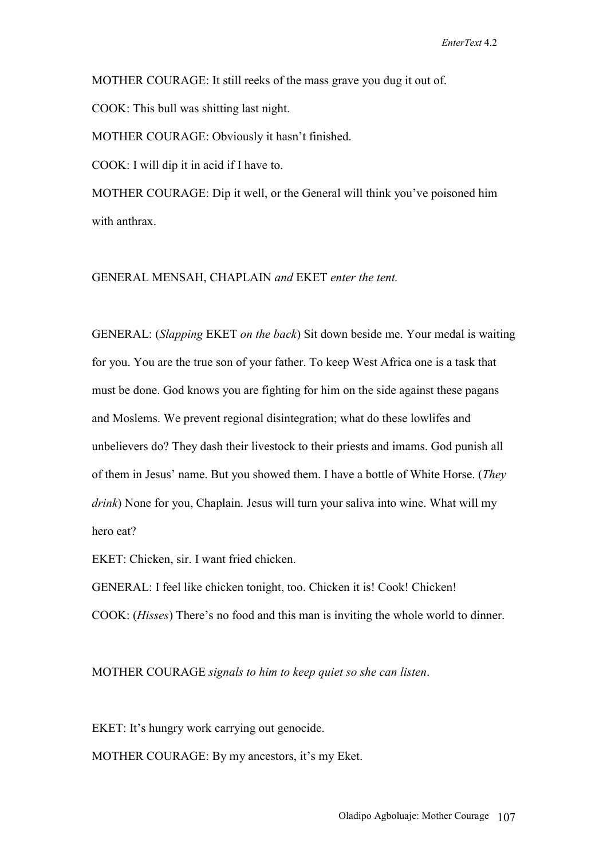MOTHER COURAGE: It still reeks of the mass grave you dug it out of.

COOK: This bull was shitting last night.

MOTHER COURAGE: Obviously it hasn't finished.

COOK: I will dip it in acid if I have to.

MOTHER COURAGE: Dip it well, or the General will think you've poisoned him with anthrax.

GENERAL MENSAH, CHAPLAIN *and* EKET *enter the tent.*

GENERAL: (*Slapping* EKET *on the back*) Sit down beside me. Your medal is waiting for you. You are the true son of your father. To keep West Africa one is a task that must be done. God knows you are fighting for him on the side against these pagans and Moslems. We prevent regional disintegration; what do these lowlifes and unbelievers do? They dash their livestock to their priests and imams. God punish all of them in Jesus' name. But you showed them. I have a bottle of White Horse. (*They drink*) None for you, Chaplain. Jesus will turn your saliva into wine. What will my hero eat?

EKET: Chicken, sir. I want fried chicken.

GENERAL: I feel like chicken tonight, too. Chicken it is! Cook! Chicken! COOK: (*Hisses*) There's no food and this man is inviting the whole world to dinner.

MOTHER COURAGE *signals to him to keep quiet so she can listen*.

EKET: It's hungry work carrying out genocide.

MOTHER COURAGE: By my ancestors, it's my Eket.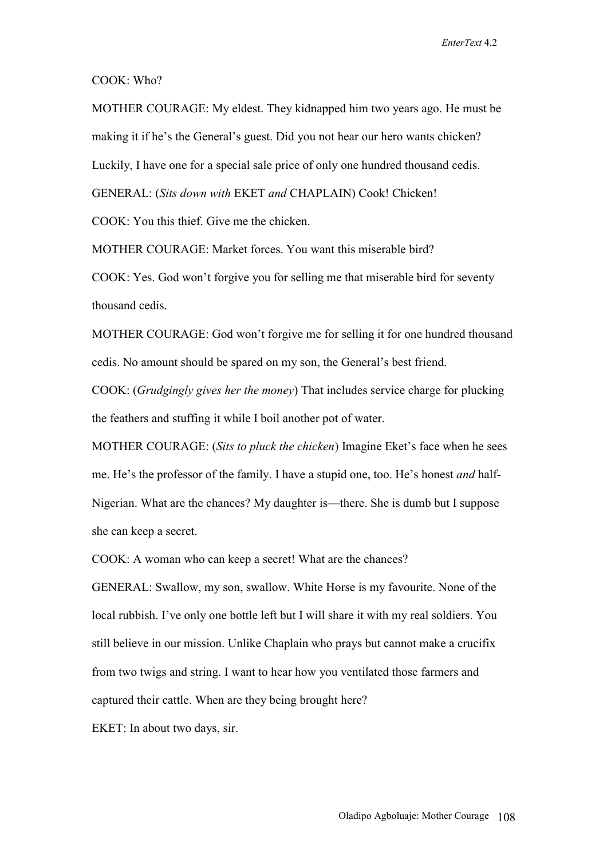*EnterText* 4.2

COOK: Who?

MOTHER COURAGE: My eldest. They kidnapped him two years ago. He must be making it if he's the General's guest. Did you not hear our hero wants chicken? Luckily, I have one for a special sale price of only one hundred thousand cedis. GENERAL: (*Sits down with* EKET *and* CHAPLAIN) Cook! Chicken! COOK: You this thief. Give me the chicken.

MOTHER COURAGE: Market forces. You want this miserable bird? COOK: Yes. God won't forgive you for selling me that miserable bird for seventy thousand cedis.

MOTHER COURAGE: God won't forgive me for selling it for one hundred thousand cedis. No amount should be spared on my son, the General's best friend.

COOK: (*Grudgingly gives her the money*) That includes service charge for plucking the feathers and stuffing it while I boil another pot of water.

MOTHER COURAGE: (*Sits to pluck the chicken*) Imagine Eket's face when he sees me. He's the professor of the family. I have a stupid one, too. He's honest *and* half-Nigerian. What are the chances? My daughter is—there. She is dumb but I suppose she can keep a secret.

COOK: A woman who can keep a secret! What are the chances?

GENERAL: Swallow, my son, swallow. White Horse is my favourite. None of the local rubbish. I've only one bottle left but I will share it with my real soldiers. You still believe in our mission. Unlike Chaplain who prays but cannot make a crucifix from two twigs and string. I want to hear how you ventilated those farmers and captured their cattle. When are they being brought here?

EKET: In about two days, sir.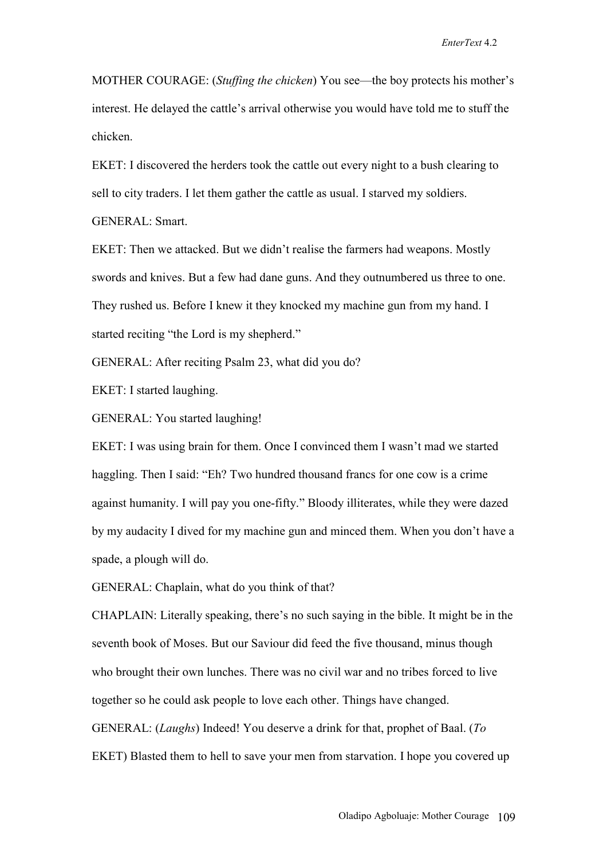MOTHER COURAGE: (*Stuffing the chicken*) You see—the boy protects his mother's interest. He delayed the cattle's arrival otherwise you would have told me to stuff the chicken.

EKET: I discovered the herders took the cattle out every night to a bush clearing to sell to city traders. I let them gather the cattle as usual. I starved my soldiers. GENERAL: Smart.

EKET: Then we attacked. But we didn't realise the farmers had weapons. Mostly swords and knives. But a few had dane guns. And they outnumbered us three to one. They rushed us. Before I knew it they knocked my machine gun from my hand. I started reciting "the Lord is my shepherd."

GENERAL: After reciting Psalm 23, what did you do?

EKET: I started laughing.

GENERAL: You started laughing!

EKET: I was using brain for them. Once I convinced them I wasn't mad we started haggling. Then I said: "Eh? Two hundred thousand francs for one cow is a crime against humanity. I will pay you one-fifty." Bloody illiterates, while they were dazed by my audacity I dived for my machine gun and minced them. When you don't have a spade, a plough will do.

GENERAL: Chaplain, what do you think of that?

CHAPLAIN: Literally speaking, there's no such saying in the bible. It might be in the seventh book of Moses. But our Saviour did feed the five thousand, minus though who brought their own lunches. There was no civil war and no tribes forced to live together so he could ask people to love each other. Things have changed.

GENERAL: (*Laughs*) Indeed! You deserve a drink for that, prophet of Baal. (*To*  EKET) Blasted them to hell to save your men from starvation. I hope you covered up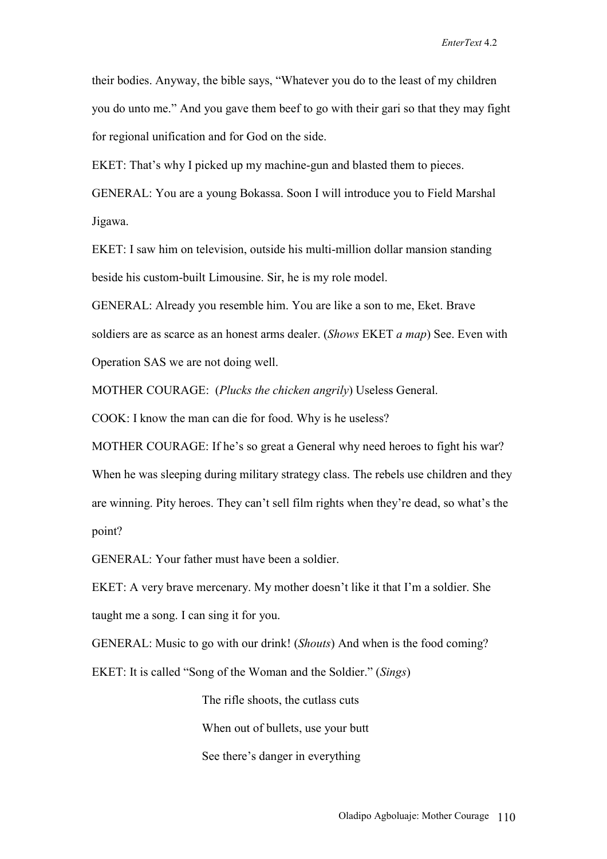their bodies. Anyway, the bible says, "Whatever you do to the least of my children you do unto me." And you gave them beef to go with their gari so that they may fight for regional unification and for God on the side.

EKET: That's why I picked up my machine-gun and blasted them to pieces.

GENERAL: You are a young Bokassa. Soon I will introduce you to Field Marshal Jigawa.

EKET: I saw him on television, outside his multi-million dollar mansion standing beside his custom-built Limousine. Sir, he is my role model.

GENERAL: Already you resemble him. You are like a son to me, Eket. Brave soldiers are as scarce as an honest arms dealer. (*Shows* EKET *a map*) See. Even with Operation SAS we are not doing well.

MOTHER COURAGE: (*Plucks the chicken angrily*) Useless General.

COOK: I know the man can die for food. Why is he useless?

MOTHER COURAGE: If he's so great a General why need heroes to fight his war? When he was sleeping during military strategy class. The rebels use children and they are winning. Pity heroes. They can't sell film rights when they're dead, so what's the point?

GENERAL: Your father must have been a soldier.

EKET: A very brave mercenary. My mother doesn't like it that I'm a soldier. She taught me a song. I can sing it for you.

GENERAL: Music to go with our drink! (*Shouts*) And when is the food coming?

EKET: It is called "Song of the Woman and the Soldier." (*Sings*)

The rifle shoots, the cutlass cuts

When out of bullets, use your butt

See there's danger in everything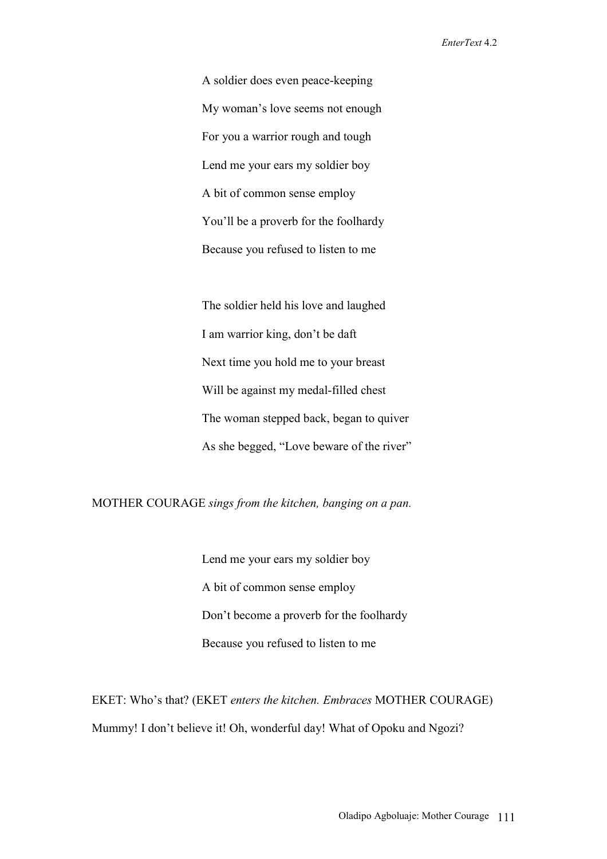A soldier does even peace-keeping My woman's love seems not enough For you a warrior rough and tough Lend me your ears my soldier boy A bit of common sense employ You'll be a proverb for the foolhardy Because you refused to listen to me

The soldier held his love and laughed I am warrior king, don't be daft Next time you hold me to your breast Will be against my medal-filled chest The woman stepped back, began to quiver As she begged, "Love beware of the river"

# MOTHER COURAGE *sings from the kitchen, banging on a pan.*

Lend me your ears my soldier boy A bit of common sense employ Don't become a proverb for the foolhardy Because you refused to listen to me

EKET: Who's that? (EKET *enters the kitchen. Embraces* MOTHER COURAGE) Mummy! I don't believe it! Oh, wonderful day! What of Opoku and Ngozi?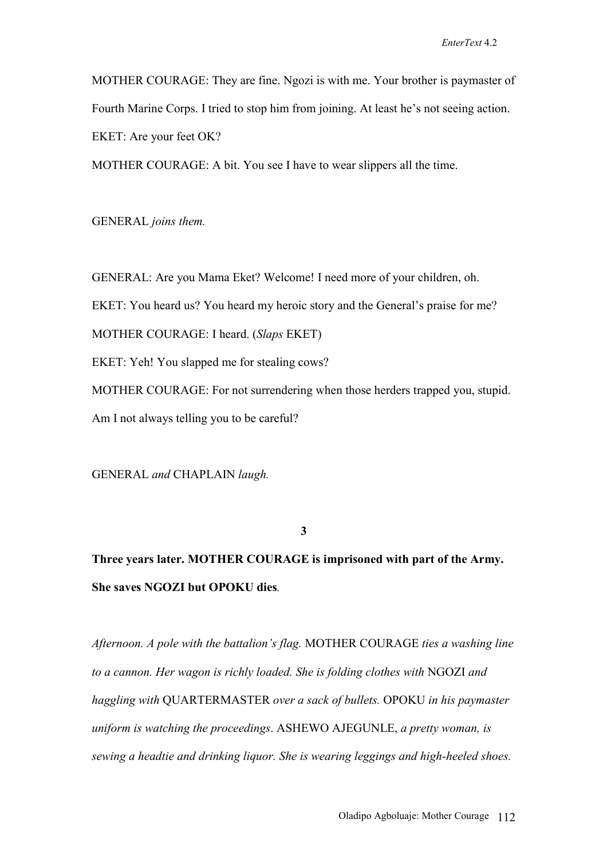MOTHER COURAGE: They are fine. Ngozi is with me. Your brother is paymaster of Fourth Marine Corps. I tried to stop him from joining. At least he's not seeing action. EKET: Are your feet OK?

MOTHER COURAGE: A bit. You see I have to wear slippers all the time.

GENERAL *joins them.*

GENERAL: Are you Mama Eket? Welcome! I need more of your children, oh. EKET: You heard us? You heard my heroic story and the General's praise for me? MOTHER COURAGE: I heard. (*Slaps* EKET) EKET: Yeh! You slapped me for stealing cows? MOTHER COURAGE: For not surrendering when those herders trapped you, stupid. Am I not always telling you to be careful?

GENERAL *and* CHAPLAIN *laugh.*

**3** 

**Three years later. MOTHER COURAGE is imprisoned with part of the Army. She saves NGOZI but OPOKU dies***.*

*Afternoon. A pole with the battalion's flag.* MOTHER COURAGE *ties a washing line to a cannon. Her wagon is richly loaded. She is folding clothes with* NGOZI *and haggling with* QUARTERMASTER *over a sack of bullets.* OPOKU *in his paymaster uniform is watching the proceedings*. ASHEWO AJEGUNLE, *a pretty woman, is sewing a headtie and drinking liquor. She is wearing leggings and high-heeled shoes.*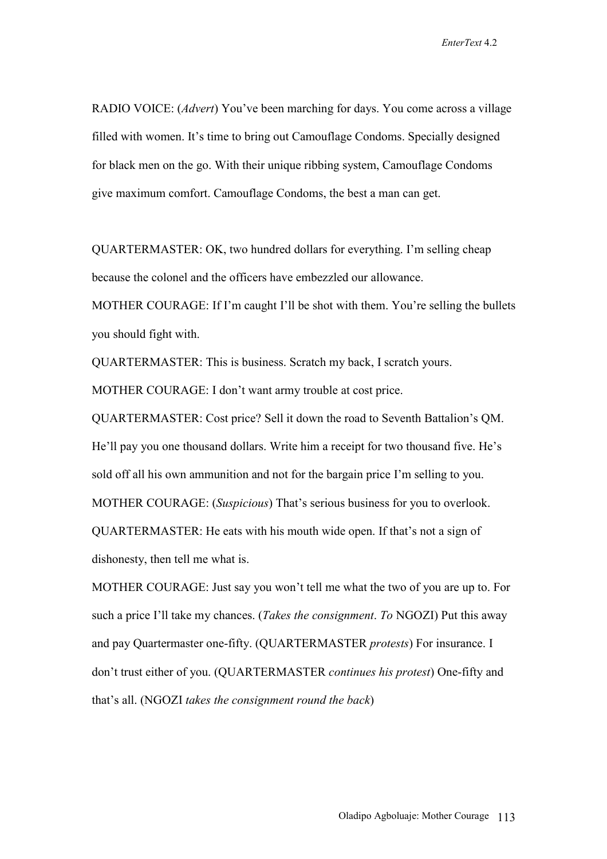RADIO VOICE: (*Advert*) You've been marching for days. You come across a village filled with women. It's time to bring out Camouflage Condoms. Specially designed for black men on the go. With their unique ribbing system, Camouflage Condoms give maximum comfort. Camouflage Condoms, the best a man can get.

QUARTERMASTER: OK, two hundred dollars for everything. I'm selling cheap because the colonel and the officers have embezzled our allowance.

MOTHER COURAGE: If I'm caught I'll be shot with them. You're selling the bullets you should fight with.

QUARTERMASTER: This is business. Scratch my back, I scratch yours. MOTHER COURAGE: I don't want army trouble at cost price.

QUARTERMASTER: Cost price? Sell it down the road to Seventh Battalion's QM. He'll pay you one thousand dollars. Write him a receipt for two thousand five. He's sold off all his own ammunition and not for the bargain price I'm selling to you. MOTHER COURAGE: (*Suspicious*) That's serious business for you to overlook. QUARTERMASTER: He eats with his mouth wide open. If that's not a sign of dishonesty, then tell me what is.

MOTHER COURAGE: Just say you won't tell me what the two of you are up to. For such a price I'll take my chances. (*Takes the consignment*. *To* NGOZI) Put this away and pay Quartermaster one-fifty. (QUARTERMASTER *protests*) For insurance. I don't trust either of you. (QUARTERMASTER *continues his protest*) One-fifty and that's all. (NGOZI *takes the consignment round the back*)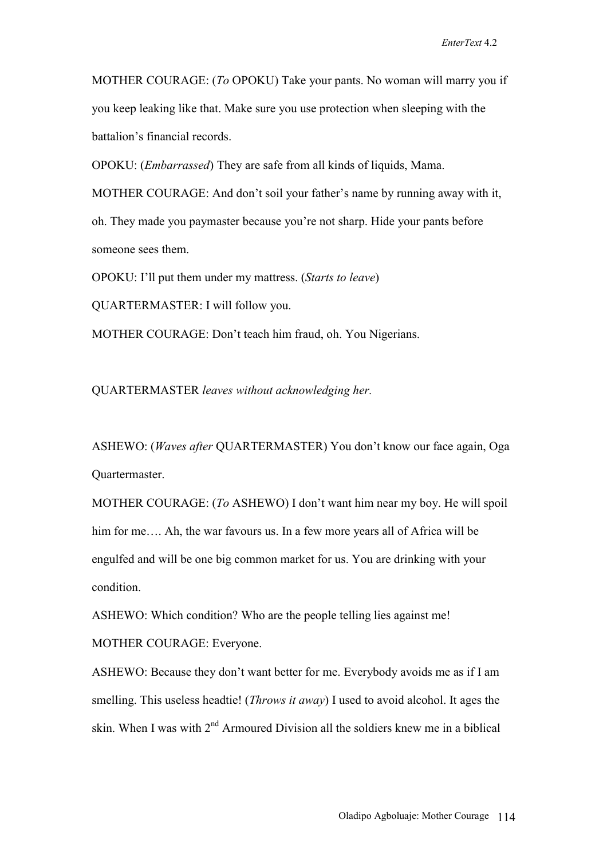MOTHER COURAGE: (*To* OPOKU) Take your pants. No woman will marry you if you keep leaking like that. Make sure you use protection when sleeping with the battalion's financial records.

OPOKU: (*Embarrassed*) They are safe from all kinds of liquids, Mama.

MOTHER COURAGE: And don't soil your father's name by running away with it, oh. They made you paymaster because you're not sharp. Hide your pants before someone sees them.

OPOKU: I'll put them under my mattress. (*Starts to leave*)

QUARTERMASTER: I will follow you.

MOTHER COURAGE: Don't teach him fraud, oh. You Nigerians.

QUARTERMASTER *leaves without acknowledging her.* 

ASHEWO: (*Waves after* QUARTERMASTER) You don't know our face again, Oga Quartermaster.

MOTHER COURAGE: (*To* ASHEWO) I don't want him near my boy. He will spoil him for me.... Ah, the war favours us. In a few more years all of Africa will be engulfed and will be one big common market for us. You are drinking with your condition.

ASHEWO: Which condition? Who are the people telling lies against me!

MOTHER COURAGE: Everyone.

ASHEWO: Because they don't want better for me. Everybody avoids me as if I am smelling. This useless headtie! (*Throws it away*) I used to avoid alcohol. It ages the skin. When I was with  $2<sup>nd</sup>$  Armoured Division all the soldiers knew me in a biblical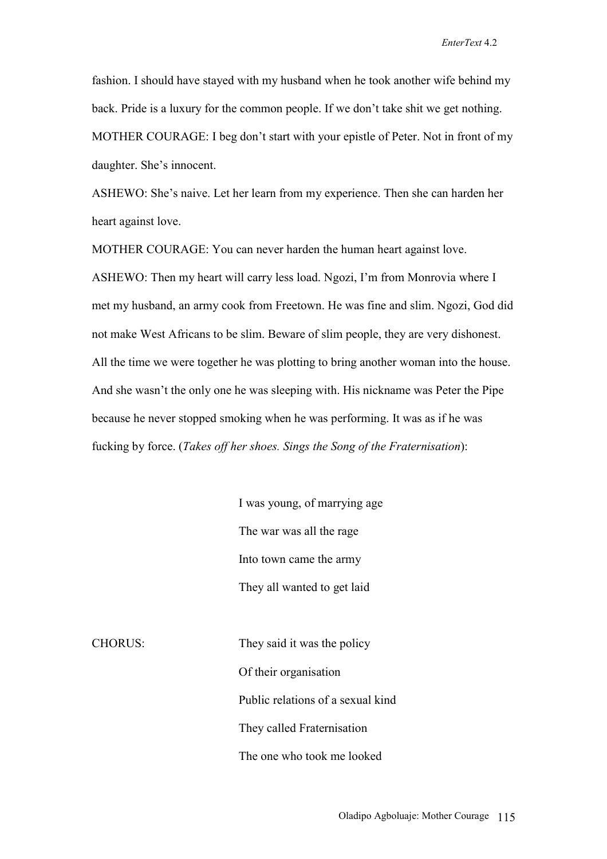fashion. I should have stayed with my husband when he took another wife behind my back. Pride is a luxury for the common people. If we don't take shit we get nothing. MOTHER COURAGE: I beg don't start with your epistle of Peter. Not in front of my daughter. She's innocent.

ASHEWO: She's naive. Let her learn from my experience. Then she can harden her heart against love.

MOTHER COURAGE: You can never harden the human heart against love. ASHEWO: Then my heart will carry less load. Ngozi, I'm from Monrovia where I met my husband, an army cook from Freetown. He was fine and slim. Ngozi, God did not make West Africans to be slim. Beware of slim people, they are very dishonest. All the time we were together he was plotting to bring another woman into the house. And she wasn't the only one he was sleeping with. His nickname was Peter the Pipe because he never stopped smoking when he was performing. It was as if he was fucking by force. (*Takes off her shoes. Sings the Song of the Fraternisation*):

> I was young, of marrying age The war was all the rage Into town came the army They all wanted to get laid

CHORUS: They said it was the policy Of their organisation Public relations of a sexual kind They called Fraternisation The one who took me looked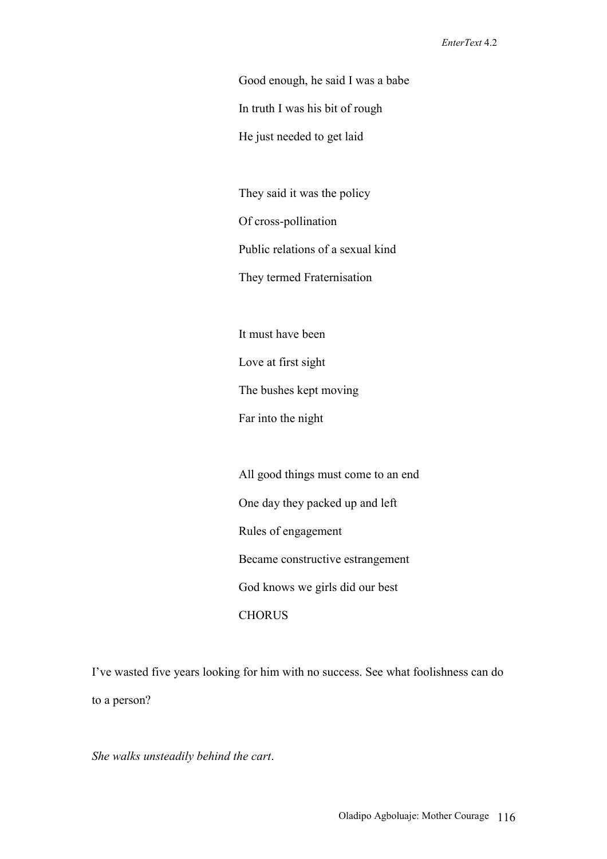Good enough, he said I was a babe

In truth I was his bit of rough

He just needed to get laid

They said it was the policy Of cross-pollination Public relations of a sexual kind They termed Fraternisation

It must have been Love at first sight The bushes kept moving Far into the night

All good things must come to an end One day they packed up and left Rules of engagement Became constructive estrangement God knows we girls did our best **CHORUS** 

I've wasted five years looking for him with no success. See what foolishness can do to a person?

*She walks unsteadily behind the cart*.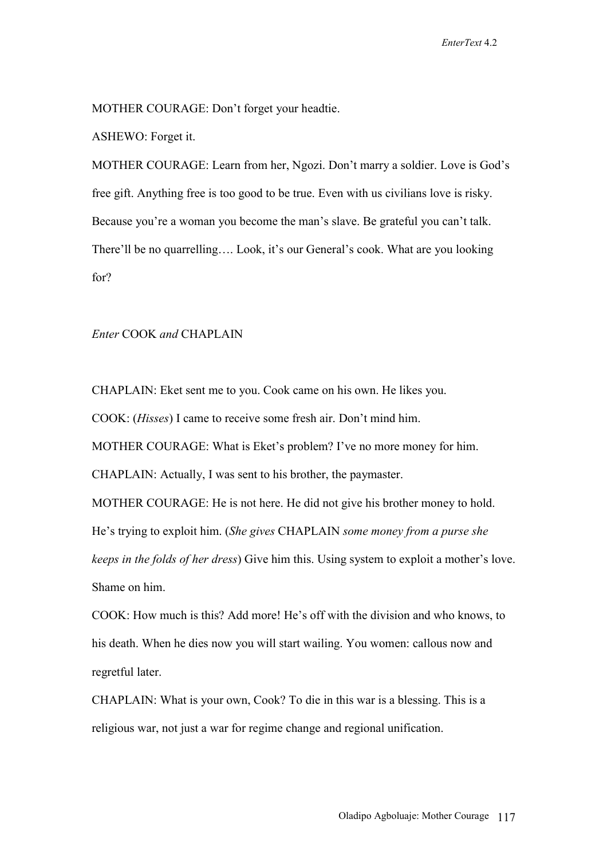MOTHER COURAGE: Don't forget your headtie.

ASHEWO: Forget it.

MOTHER COURAGE: Learn from her, Ngozi. Don't marry a soldier. Love is God's free gift. Anything free is too good to be true. Even with us civilians love is risky. Because you're a woman you become the man's slave. Be grateful you can't talk. There'll be no quarrelling…. Look, it's our General's cook. What are you looking for?

## *Enter* COOK *and* CHAPLAIN

CHAPLAIN: Eket sent me to you. Cook came on his own. He likes you. COOK: (*Hisses*) I came to receive some fresh air. Don't mind him. MOTHER COURAGE: What is Eket's problem? I've no more money for him. CHAPLAIN: Actually, I was sent to his brother, the paymaster. MOTHER COURAGE: He is not here. He did not give his brother money to hold. He's trying to exploit him. (*She gives* CHAPLAIN *some money from a purse she keeps in the folds of her dress*) Give him this. Using system to exploit a mother's love. Shame on him.

COOK: How much is this? Add more! He's off with the division and who knows, to his death. When he dies now you will start wailing. You women: callous now and regretful later.

CHAPLAIN: What is your own, Cook? To die in this war is a blessing. This is a religious war, not just a war for regime change and regional unification.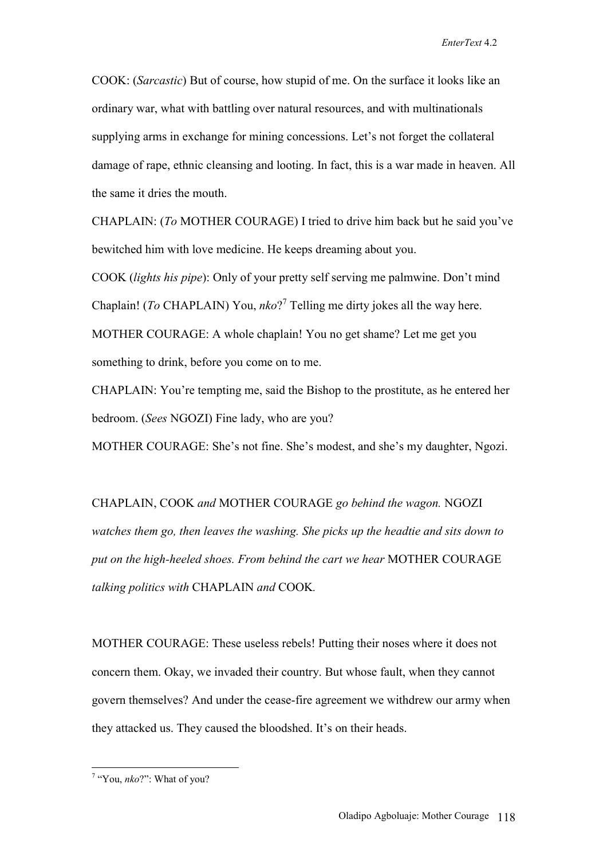COOK: (*Sarcastic*) But of course, how stupid of me. On the surface it looks like an ordinary war, what with battling over natural resources, and with multinationals supplying arms in exchange for mining concessions. Let's not forget the collateral damage of rape, ethnic cleansing and looting. In fact, this is a war made in heaven. All the same it dries the mouth.

CHAPLAIN: (*To* MOTHER COURAGE) I tried to drive him back but he said you've bewitched him with love medicine. He keeps dreaming about you.

COOK (*lights his pipe*): Only of your pretty self serving me palmwine. Don't mind Chaplain! (*To* CHAPLAIN) You, *nko*? 7 Telling me dirty jokes all the way here. MOTHER COURAGE: A whole chaplain! You no get shame? Let me get you something to drink, before you come on to me.

CHAPLAIN: You're tempting me, said the Bishop to the prostitute, as he entered her bedroom. (*Sees* NGOZI) Fine lady, who are you?

MOTHER COURAGE: She's not fine. She's modest, and she's my daughter, Ngozi.

CHAPLAIN, COOK *and* MOTHER COURAGE *go behind the wagon.* NGOZI *watches them go, then leaves the washing. She picks up the headtie and sits down to put on the high-heeled shoes. From behind the cart we hear* MOTHER COURAGE *talking politics with* CHAPLAIN *and* COOK*.* 

MOTHER COURAGE: These useless rebels! Putting their noses where it does not concern them. Okay, we invaded their country. But whose fault, when they cannot govern themselves? And under the cease-fire agreement we withdrew our army when they attacked us. They caused the bloodshed. It's on their heads.

 $\overline{a}$ 

<sup>7</sup> "You, *nko*?": What of you?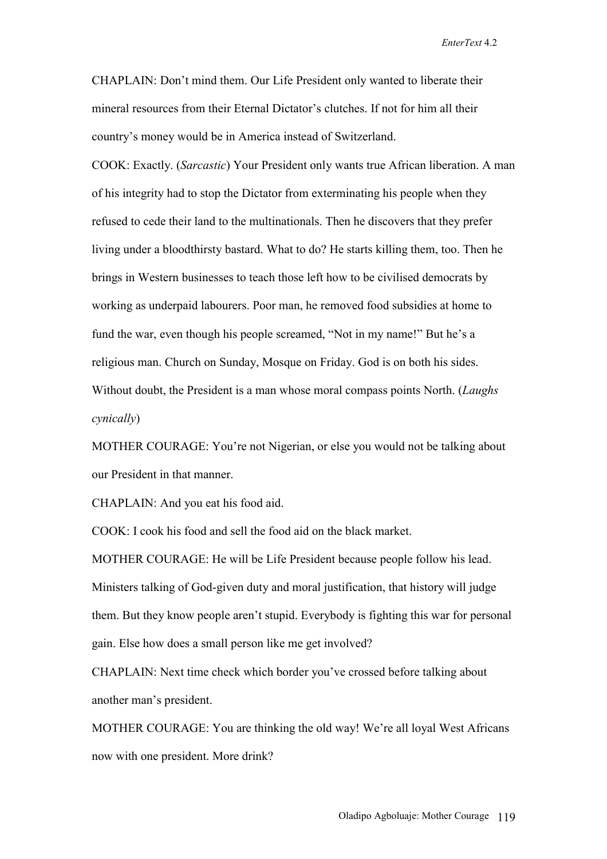*EnterText* 4.2

CHAPLAIN: Don't mind them. Our Life President only wanted to liberate their mineral resources from their Eternal Dictator's clutches. If not for him all their country's money would be in America instead of Switzerland.

COOK: Exactly. (*Sarcastic*) Your President only wants true African liberation. A man of his integrity had to stop the Dictator from exterminating his people when they refused to cede their land to the multinationals. Then he discovers that they prefer living under a bloodthirsty bastard. What to do? He starts killing them, too. Then he brings in Western businesses to teach those left how to be civilised democrats by working as underpaid labourers. Poor man, he removed food subsidies at home to fund the war, even though his people screamed, "Not in my name!" But he's a religious man. Church on Sunday, Mosque on Friday. God is on both his sides. Without doubt, the President is a man whose moral compass points North. (*Laughs cynically*)

MOTHER COURAGE: You're not Nigerian, or else you would not be talking about our President in that manner.

CHAPLAIN: And you eat his food aid.

COOK: I cook his food and sell the food aid on the black market.

MOTHER COURAGE: He will be Life President because people follow his lead. Ministers talking of God-given duty and moral justification, that history will judge them. But they know people aren't stupid. Everybody is fighting this war for personal gain. Else how does a small person like me get involved?

CHAPLAIN: Next time check which border you've crossed before talking about another man's president.

MOTHER COURAGE: You are thinking the old way! We're all loyal West Africans now with one president. More drink?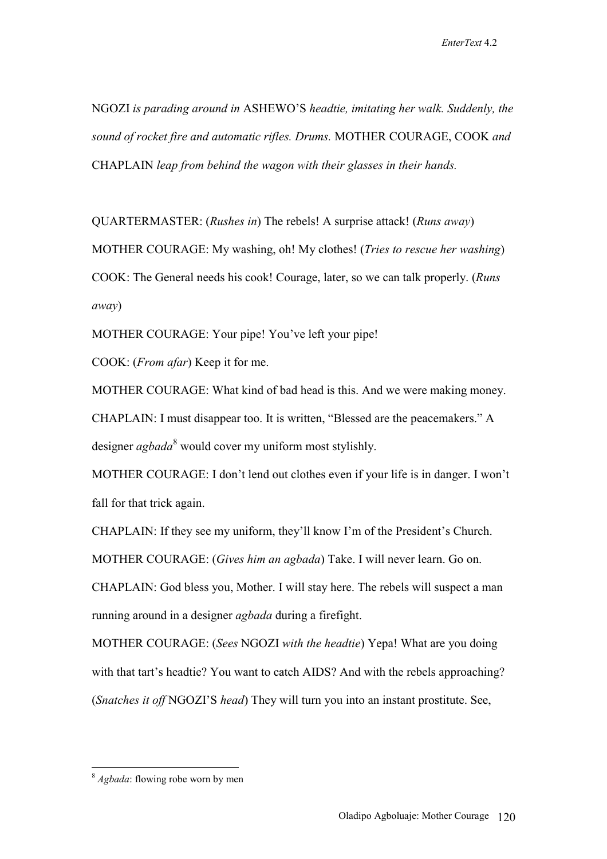NGOZI *is parading around in* ASHEWO'S *headtie, imitating her walk. Suddenly, the sound of rocket fire and automatic rifles. Drums.* MOTHER COURAGE, COOK *and*  CHAPLAIN *leap from behind the wagon with their glasses in their hands.*

QUARTERMASTER: (*Rushes in*) The rebels! A surprise attack! (*Runs away*)

MOTHER COURAGE: My washing, oh! My clothes! (*Tries to rescue her washing*) COOK: The General needs his cook! Courage, later, so we can talk properly. (*Runs away*)

MOTHER COURAGE: Your pipe! You've left your pipe!

COOK: (*From afar*) Keep it for me.

MOTHER COURAGE: What kind of bad head is this. And we were making money.

CHAPLAIN: I must disappear too. It is written, "Blessed are the peacemakers." A designer *agbada*<sup>8</sup> would cover my uniform most stylishly.

MOTHER COURAGE: I don't lend out clothes even if your life is in danger. I won't fall for that trick again.

CHAPLAIN: If they see my uniform, they'll know I'm of the President's Church. MOTHER COURAGE: (*Gives him an agbada*) Take. I will never learn. Go on.

CHAPLAIN: God bless you, Mother. I will stay here. The rebels will suspect a man running around in a designer *agbada* during a firefight.

MOTHER COURAGE: (*Sees* NGOZI *with the headtie*) Yepa! What are you doing with that tart's headtie? You want to catch AIDS? And with the rebels approaching? (*Snatches it off* NGOZI'S *head*) They will turn you into an instant prostitute. See,

 $\overline{a}$ 

<sup>8</sup> *Agbada*: flowing robe worn by men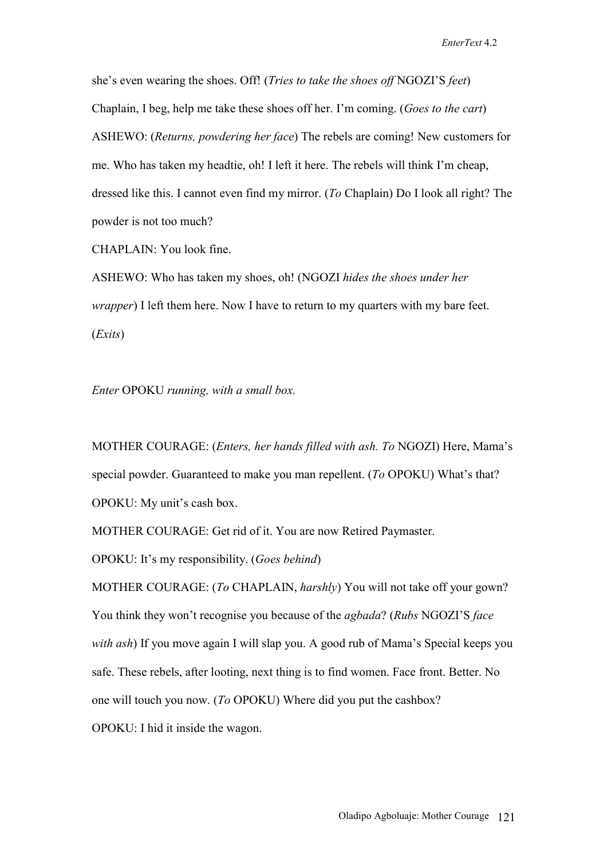she's even wearing the shoes. Off! (*Tries to take the shoes off* NGOZI'S *feet*) Chaplain, I beg, help me take these shoes off her. I'm coming. (*Goes to the cart*) ASHEWO: (*Returns, powdering her face*) The rebels are coming! New customers for me. Who has taken my headtie, oh! I left it here. The rebels will think I'm cheap, dressed like this. I cannot even find my mirror. (*To* Chaplain) Do I look all right? The powder is not too much?

CHAPLAIN: You look fine.

ASHEWO: Who has taken my shoes, oh! (NGOZI *hides the shoes under her wrapper*) I left them here. Now I have to return to my quarters with my bare feet. (*Exits*)

*Enter* OPOKU *running, with a small box.*

MOTHER COURAGE: (*Enters, her hands filled with ash. To* NGOZI) Here, Mama's special powder. Guaranteed to make you man repellent. (*To* OPOKU) What's that? OPOKU: My unit's cash box.

MOTHER COURAGE: Get rid of it. You are now Retired Paymaster.

OPOKU: It's my responsibility. (*Goes behind*)

MOTHER COURAGE: (*To* CHAPLAIN, *harshly*) You will not take off your gown? You think they won't recognise you because of the *agbada*? (*Rubs* NGOZI'S *face with ash*) If you move again I will slap you. A good rub of Mama's Special keeps you safe. These rebels, after looting, next thing is to find women. Face front. Better. No one will touch you now. (*To* OPOKU) Where did you put the cashbox? OPOKU: I hid it inside the wagon.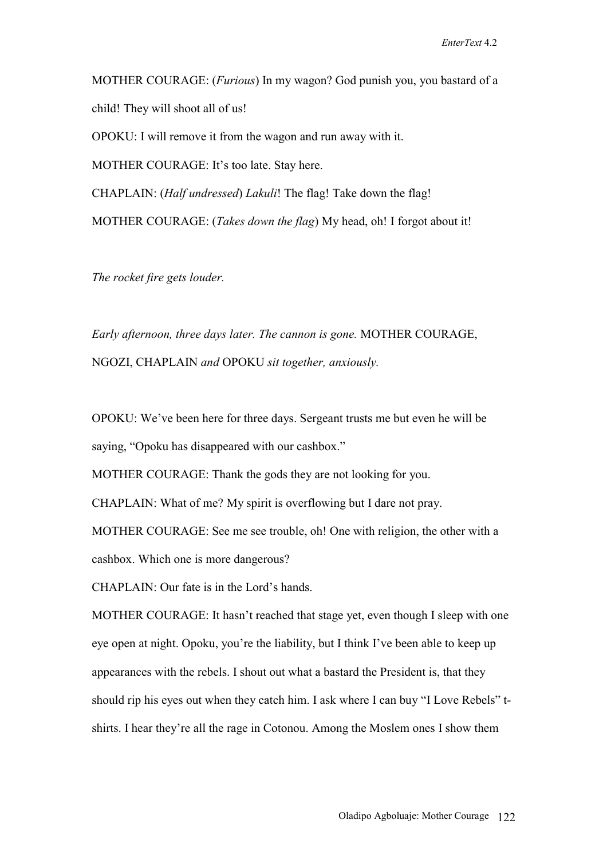MOTHER COURAGE: (*Furious*) In my wagon? God punish you, you bastard of a child! They will shoot all of us!

OPOKU: I will remove it from the wagon and run away with it.

MOTHER COURAGE: It's too late. Stay here.

CHAPLAIN: (*Half undressed*) *Lakuli*! The flag! Take down the flag! MOTHER COURAGE: (*Takes down the flag*) My head, oh! I forgot about it!

*The rocket fire gets louder.*

*Early afternoon, three days later. The cannon is gone.* MOTHER COURAGE, NGOZI, CHAPLAIN *and* OPOKU *sit together, anxiously.*

OPOKU: We've been here for three days. Sergeant trusts me but even he will be saying, "Opoku has disappeared with our cashbox."

MOTHER COURAGE: Thank the gods they are not looking for you.

CHAPLAIN: What of me? My spirit is overflowing but I dare not pray.

MOTHER COURAGE: See me see trouble, oh! One with religion, the other with a cashbox. Which one is more dangerous?

CHAPLAIN: Our fate is in the Lord's hands.

MOTHER COURAGE: It hasn't reached that stage yet, even though I sleep with one eye open at night. Opoku, you're the liability, but I think I've been able to keep up appearances with the rebels. I shout out what a bastard the President is, that they should rip his eyes out when they catch him. I ask where I can buy "I Love Rebels" tshirts. I hear they're all the rage in Cotonou. Among the Moslem ones I show them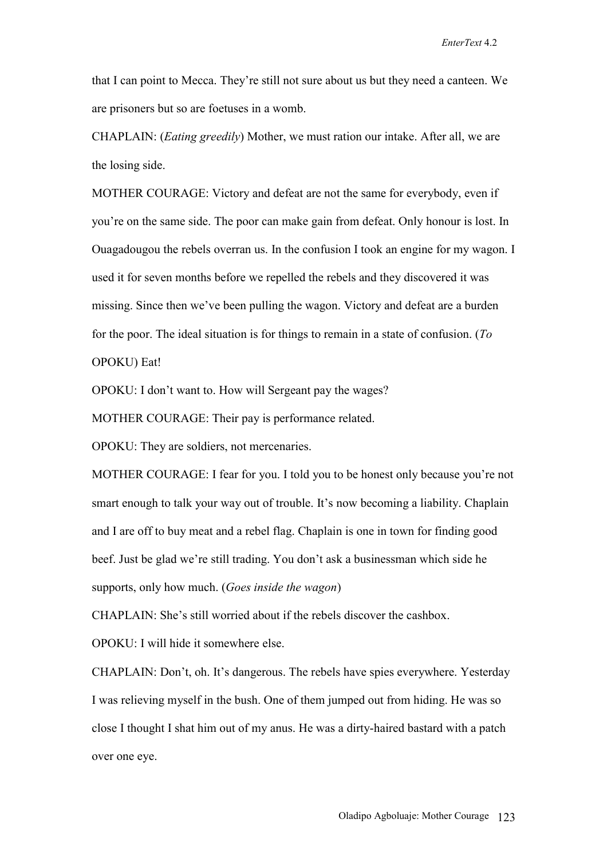that I can point to Mecca. They're still not sure about us but they need a canteen. We are prisoners but so are foetuses in a womb.

CHAPLAIN: (*Eating greedily*) Mother, we must ration our intake. After all, we are the losing side.

MOTHER COURAGE: Victory and defeat are not the same for everybody, even if you're on the same side. The poor can make gain from defeat. Only honour is lost. In Ouagadougou the rebels overran us. In the confusion I took an engine for my wagon. I used it for seven months before we repelled the rebels and they discovered it was missing. Since then we've been pulling the wagon. Victory and defeat are a burden for the poor. The ideal situation is for things to remain in a state of confusion. (*To* OPOKU) Eat!

OPOKU: I don't want to. How will Sergeant pay the wages?

MOTHER COURAGE: Their pay is performance related.

OPOKU: They are soldiers, not mercenaries.

MOTHER COURAGE: I fear for you. I told you to be honest only because you're not smart enough to talk your way out of trouble. It's now becoming a liability. Chaplain and I are off to buy meat and a rebel flag. Chaplain is one in town for finding good beef. Just be glad we're still trading. You don't ask a businessman which side he supports, only how much. (*Goes inside the wagon*)

CHAPLAIN: She's still worried about if the rebels discover the cashbox.

OPOKU: I will hide it somewhere else.

CHAPLAIN: Don't, oh. It's dangerous. The rebels have spies everywhere. Yesterday I was relieving myself in the bush. One of them jumped out from hiding. He was so close I thought I shat him out of my anus. He was a dirty-haired bastard with a patch over one eye.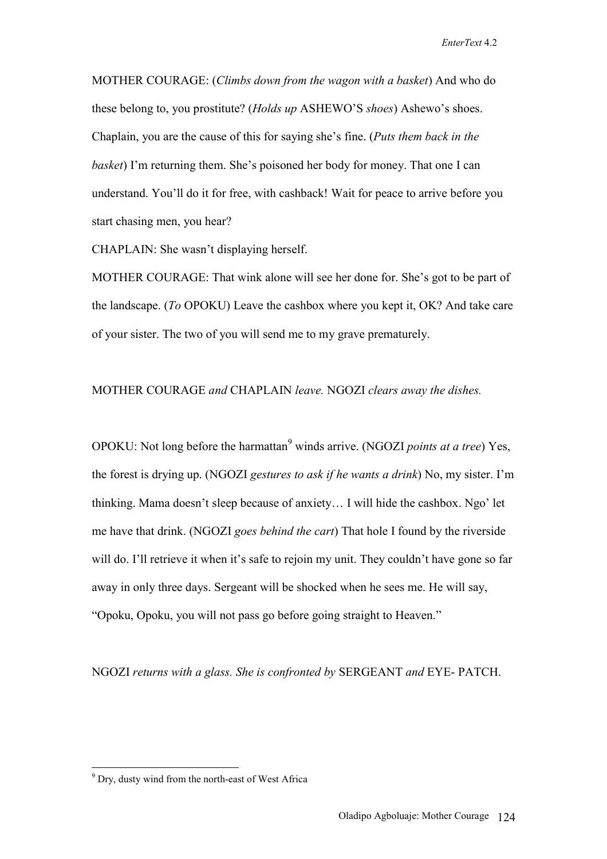MOTHER COURAGE: (*Climbs down from the wagon with a basket*) And who do these belong to, you prostitute? (*Holds up* ASHEWO'S *shoes*) Ashewo's shoes. Chaplain, you are the cause of this for saying she's fine. (*Puts them back in the basket*) I'm returning them. She's poisoned her body for money. That one I can understand. You'll do it for free, with cashback! Wait for peace to arrive before you start chasing men, you hear?

CHAPLAIN: She wasn't displaying herself.

MOTHER COURAGE: That wink alone will see her done for. She's got to be part of the landscape. (*To* OPOKU) Leave the cashbox where you kept it, OK? And take care of your sister. The two of you will send me to my grave prematurely.

### MOTHER COURAGE *and* CHAPLAIN *leave.* NGOZI *clears away the dishes.*

OPOKU: Not long before the harmattan<sup>9</sup> winds arrive. (NGOZI *points at a tree*) Yes, the forest is drying up. (NGOZI *gestures to ask if he wants a drink*) No, my sister. I'm thinking. Mama doesn't sleep because of anxiety… I will hide the cashbox. Ngo' let me have that drink. (NGOZI *goes behind the cart*) That hole I found by the riverside will do. I'll retrieve it when it's safe to rejoin my unit. They couldn't have gone so far away in only three days. Sergeant will be shocked when he sees me. He will say, "Opoku, Opoku, you will not pass go before going straight to Heaven."

NGOZI *returns with a glass. She is confronted by* SERGEANT *and* EYE- PATCH.

 $\overline{a}$ 

<sup>&</sup>lt;sup>9</sup> Dry, dusty wind from the north-east of West Africa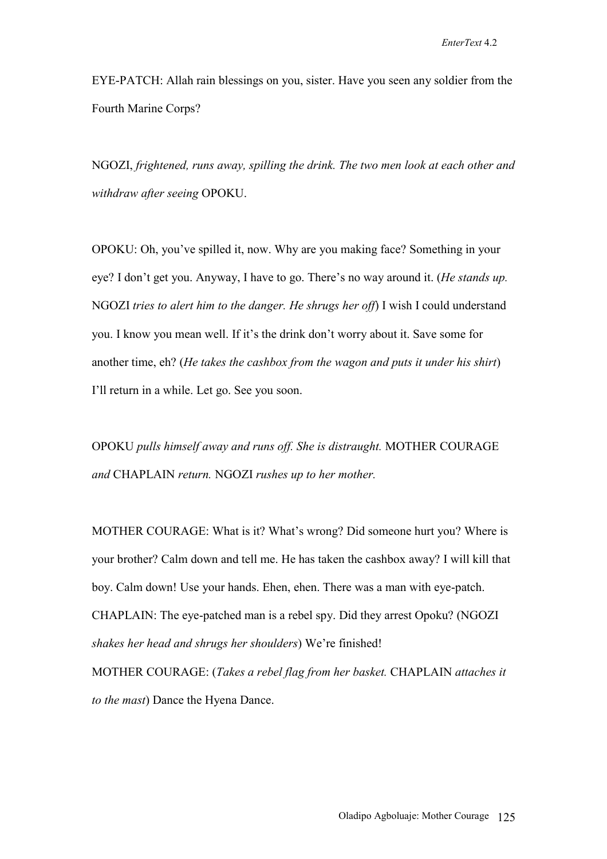EYE-PATCH: Allah rain blessings on you, sister. Have you seen any soldier from the Fourth Marine Corps?

NGOZI, *frightened, runs away, spilling the drink. The two men look at each other and withdraw after seeing* OPOKU.

OPOKU: Oh, you've spilled it, now. Why are you making face? Something in your eye? I don't get you. Anyway, I have to go. There's no way around it. (*He stands up.*  NGOZI *tries to alert him to the danger. He shrugs her off*) I wish I could understand you. I know you mean well. If it's the drink don't worry about it. Save some for another time, eh? (*He takes the cashbox from the wagon and puts it under his shirt*) I'll return in a while. Let go. See you soon.

OPOKU *pulls himself away and runs off. She is distraught.* MOTHER COURAGE *and* CHAPLAIN *return.* NGOZI *rushes up to her mother.* 

MOTHER COURAGE: What is it? What's wrong? Did someone hurt you? Where is your brother? Calm down and tell me. He has taken the cashbox away? I will kill that boy. Calm down! Use your hands. Ehen, ehen. There was a man with eye-patch. CHAPLAIN: The eye-patched man is a rebel spy. Did they arrest Opoku? (NGOZI *shakes her head and shrugs her shoulders*) We're finished! MOTHER COURAGE: (*Takes a rebel flag from her basket.* CHAPLAIN *attaches it* 

*to the mast*) Dance the Hyena Dance.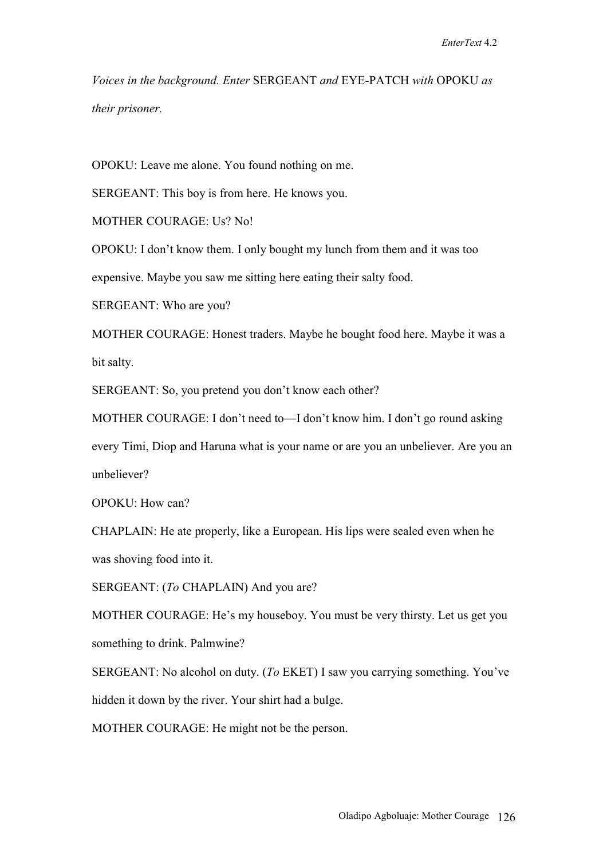*Voices in the background. Enter* SERGEANT *and* EYE-PATCH *with* OPOKU *as their prisoner.*

OPOKU: Leave me alone. You found nothing on me.

SERGEANT: This boy is from here. He knows you.

MOTHER COURAGE: Us? No!

OPOKU: I don't know them. I only bought my lunch from them and it was too

expensive. Maybe you saw me sitting here eating their salty food.

SERGEANT: Who are you?

MOTHER COURAGE: Honest traders. Maybe he bought food here. Maybe it was a bit salty.

SERGEANT: So, you pretend you don't know each other?

MOTHER COURAGE: I don't need to—I don't know him. I don't go round asking

every Timi, Diop and Haruna what is your name or are you an unbeliever. Are you an unbeliever?

OPOKU: How can?

CHAPLAIN: He ate properly, like a European. His lips were sealed even when he was shoving food into it.

SERGEANT: (*To* CHAPLAIN) And you are?

MOTHER COURAGE: He's my houseboy. You must be very thirsty. Let us get you something to drink. Palmwine?

SERGEANT: No alcohol on duty. (*To* EKET) I saw you carrying something. You've hidden it down by the river. Your shirt had a bulge.

MOTHER COURAGE: He might not be the person.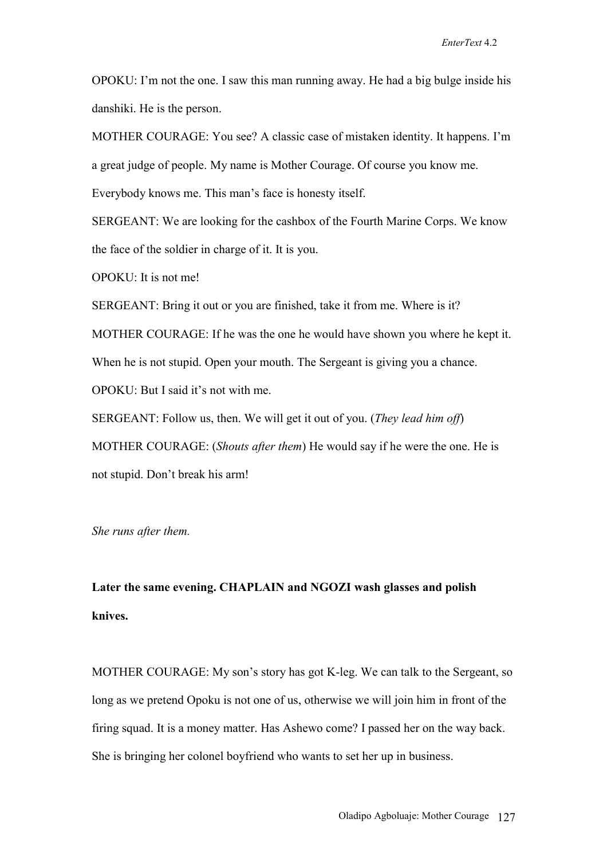OPOKU: I'm not the one. I saw this man running away. He had a big bulge inside his danshiki. He is the person.

MOTHER COURAGE: You see? A classic case of mistaken identity. It happens. I'm a great judge of people. My name is Mother Courage. Of course you know me.

Everybody knows me. This man's face is honesty itself.

SERGEANT: We are looking for the cashbox of the Fourth Marine Corps. We know the face of the soldier in charge of it. It is you.

OPOKU: It is not me!

SERGEANT: Bring it out or you are finished, take it from me. Where is it?

MOTHER COURAGE: If he was the one he would have shown you where he kept it.

When he is not stupid. Open your mouth. The Sergeant is giving you a chance.

OPOKU: But I said it's not with me.

SERGEANT: Follow us, then. We will get it out of you. (*They lead him off*)

MOTHER COURAGE: (*Shouts after them*) He would say if he were the one. He is not stupid. Don't break his arm!

*She runs after them.*

**Later the same evening. CHAPLAIN and NGOZI wash glasses and polish knives.** 

MOTHER COURAGE: My son's story has got K-leg. We can talk to the Sergeant, so long as we pretend Opoku is not one of us, otherwise we will join him in front of the firing squad. It is a money matter. Has Ashewo come? I passed her on the way back. She is bringing her colonel boyfriend who wants to set her up in business.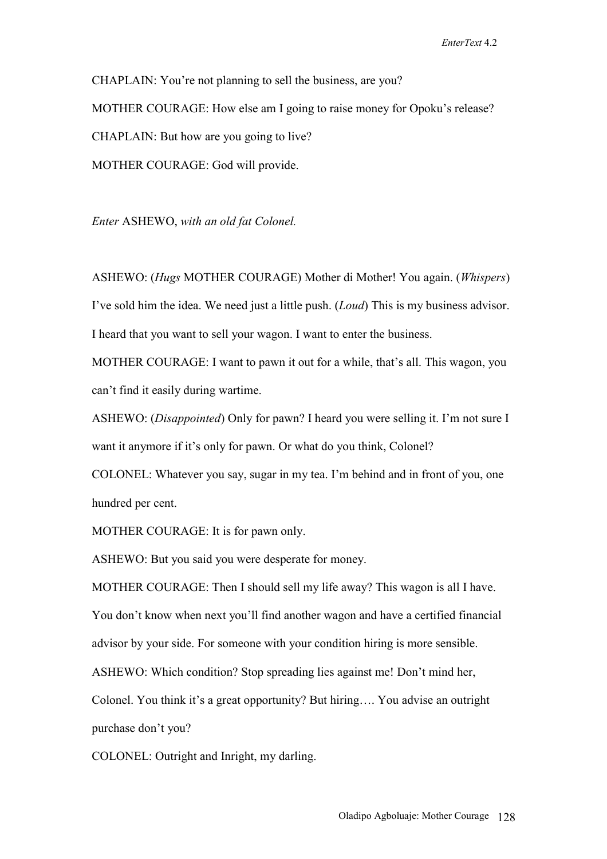CHAPLAIN: You're not planning to sell the business, are you? MOTHER COURAGE: How else am I going to raise money for Opoku's release? CHAPLAIN: But how are you going to live? MOTHER COURAGE: God will provide.

*Enter* ASHEWO, *with an old fat Colonel.* 

ASHEWO: (*Hugs* MOTHER COURAGE) Mother di Mother! You again. (*Whispers*) I've sold him the idea. We need just a little push. (*Loud*) This is my business advisor. I heard that you want to sell your wagon. I want to enter the business.

MOTHER COURAGE: I want to pawn it out for a while, that's all. This wagon, you can't find it easily during wartime.

ASHEWO: (*Disappointed*) Only for pawn? I heard you were selling it. I'm not sure I want it anymore if it's only for pawn. Or what do you think, Colonel?

COLONEL: Whatever you say, sugar in my tea. I'm behind and in front of you, one hundred per cent.

MOTHER COURAGE: It is for pawn only.

ASHEWO: But you said you were desperate for money.

MOTHER COURAGE: Then I should sell my life away? This wagon is all I have.

You don't know when next you'll find another wagon and have a certified financial

advisor by your side. For someone with your condition hiring is more sensible.

ASHEWO: Which condition? Stop spreading lies against me! Don't mind her,

Colonel. You think it's a great opportunity? But hiring…. You advise an outright

purchase don't you?

COLONEL: Outright and Inright, my darling.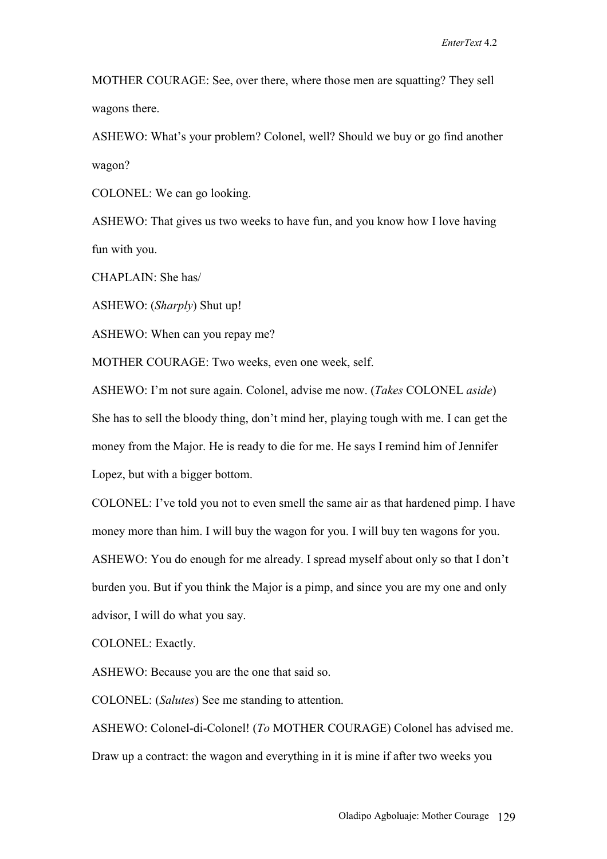MOTHER COURAGE: See, over there, where those men are squatting? They sell wagons there.

ASHEWO: What's your problem? Colonel, well? Should we buy or go find another wagon?

COLONEL: We can go looking.

ASHEWO: That gives us two weeks to have fun, and you know how I love having fun with you.

CHAPLAIN: She has/

ASHEWO: (*Sharply*) Shut up!

ASHEWO: When can you repay me?

MOTHER COURAGE: Two weeks, even one week, self.

ASHEWO: I'm not sure again. Colonel, advise me now. (*Takes* COLONEL *aside*) She has to sell the bloody thing, don't mind her, playing tough with me. I can get the money from the Major. He is ready to die for me. He says I remind him of Jennifer Lopez, but with a bigger bottom.

COLONEL: I've told you not to even smell the same air as that hardened pimp. I have money more than him. I will buy the wagon for you. I will buy ten wagons for you. ASHEWO: You do enough for me already. I spread myself about only so that I don't burden you. But if you think the Major is a pimp, and since you are my one and only advisor, I will do what you say.

COLONEL: Exactly.

ASHEWO: Because you are the one that said so.

COLONEL: (*Salutes*) See me standing to attention.

ASHEWO: Colonel-di-Colonel! (*To* MOTHER COURAGE) Colonel has advised me. Draw up a contract: the wagon and everything in it is mine if after two weeks you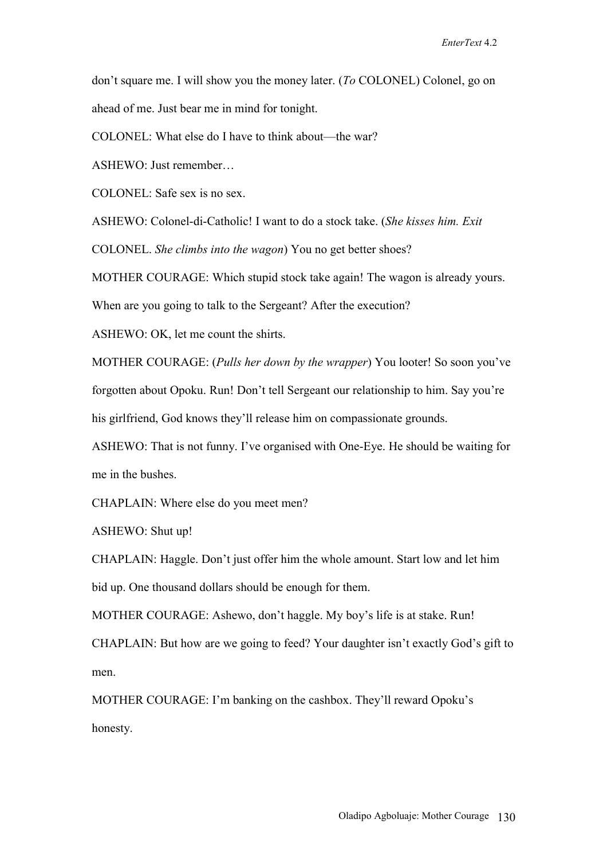don't square me. I will show you the money later. (*To* COLONEL) Colonel, go on ahead of me. Just bear me in mind for tonight.

COLONEL: What else do I have to think about—the war?

ASHEWO: Just remember…

COLONEL: Safe sex is no sex.

ASHEWO: Colonel-di-Catholic! I want to do a stock take. (*She kisses him. Exit* 

COLONEL. *She climbs into the wagon*) You no get better shoes?

MOTHER COURAGE: Which stupid stock take again! The wagon is already yours.

When are you going to talk to the Sergeant? After the execution?

ASHEWO: OK, let me count the shirts.

MOTHER COURAGE: (*Pulls her down by the wrapper*) You looter! So soon you've forgotten about Opoku. Run! Don't tell Sergeant our relationship to him. Say you're his girlfriend, God knows they'll release him on compassionate grounds.

ASHEWO: That is not funny. I've organised with One-Eye. He should be waiting for me in the bushes.

CHAPLAIN: Where else do you meet men?

ASHEWO: Shut up!

CHAPLAIN: Haggle. Don't just offer him the whole amount. Start low and let him bid up. One thousand dollars should be enough for them.

MOTHER COURAGE: Ashewo, don't haggle. My boy's life is at stake. Run!

CHAPLAIN: But how are we going to feed? Your daughter isn't exactly God's gift to men.

MOTHER COURAGE: I'm banking on the cashbox. They'll reward Opoku's honesty.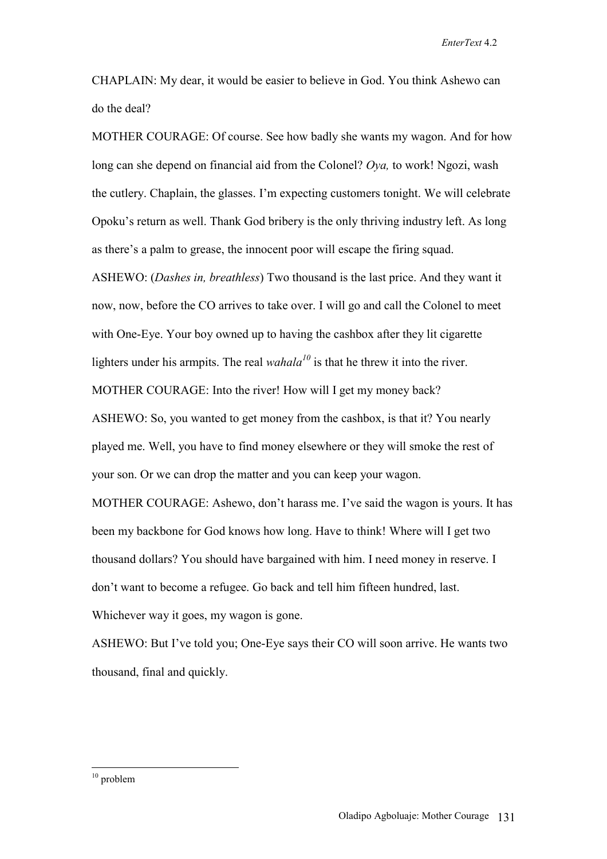*EnterText* 4.2

CHAPLAIN: My dear, it would be easier to believe in God. You think Ashewo can do the deal?

MOTHER COURAGE: Of course. See how badly she wants my wagon. And for how long can she depend on financial aid from the Colonel? *Oya,* to work! Ngozi, wash the cutlery. Chaplain, the glasses. I'm expecting customers tonight. We will celebrate Opoku's return as well. Thank God bribery is the only thriving industry left. As long as there's a palm to grease, the innocent poor will escape the firing squad.

ASHEWO: (*Dashes in, breathless*) Two thousand is the last price. And they want it now, now, before the CO arrives to take over. I will go and call the Colonel to meet with One-Eye. Your boy owned up to having the cashbox after they lit cigarette lighters under his armpits. The real *wahala*<sup> $10$ </sup> is that he threw it into the river.

MOTHER COURAGE: Into the river! How will I get my money back?

ASHEWO: So, you wanted to get money from the cashbox, is that it? You nearly played me. Well, you have to find money elsewhere or they will smoke the rest of your son. Or we can drop the matter and you can keep your wagon.

MOTHER COURAGE: Ashewo, don't harass me. I've said the wagon is yours. It has been my backbone for God knows how long. Have to think! Where will I get two thousand dollars? You should have bargained with him. I need money in reserve. I don't want to become a refugee. Go back and tell him fifteen hundred, last. Whichever way it goes, my wagon is gone.

ASHEWO: But I've told you; One-Eye says their CO will soon arrive. He wants two thousand, final and quickly.

 $\overline{a}$ 

 $10$  problem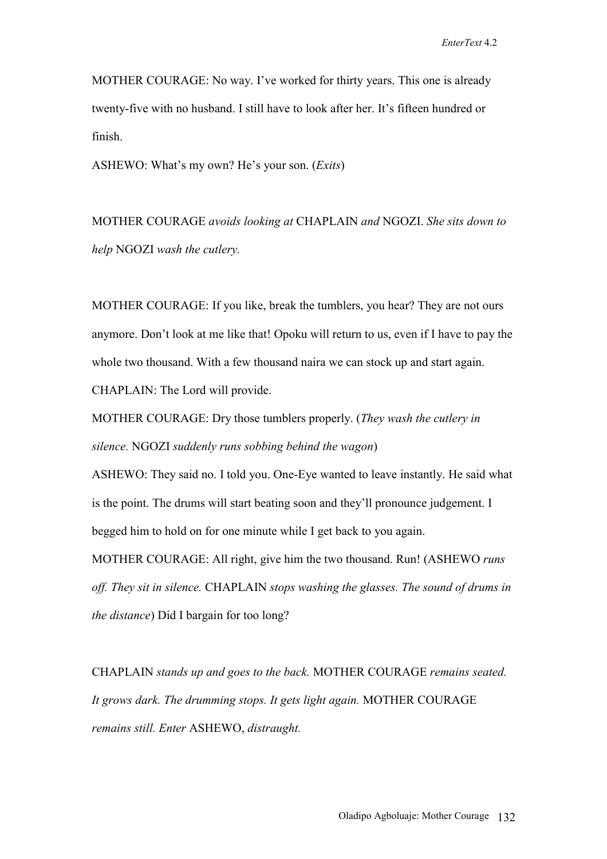MOTHER COURAGE: No way. I've worked for thirty years. This one is already twenty-five with no husband. I still have to look after her. It's fifteen hundred or finish.

ASHEWO: What's my own? He's your son. (*Exits*)

MOTHER COURAGE *avoids looking at* CHAPLAIN *and* NGOZI. *She sits down to help* NGOZI *wash the cutlery.*

MOTHER COURAGE: If you like, break the tumblers, you hear? They are not ours anymore. Don't look at me like that! Opoku will return to us, even if I have to pay the whole two thousand. With a few thousand naira we can stock up and start again. CHAPLAIN: The Lord will provide.

MOTHER COURAGE: Dry those tumblers properly. (*They wash the cutlery in silence.* NGOZI *suddenly runs sobbing behind the wagon*)

ASHEWO: They said no. I told you. One-Eye wanted to leave instantly. He said what is the point. The drums will start beating soon and they'll pronounce judgement. I begged him to hold on for one minute while I get back to you again.

MOTHER COURAGE: All right, give him the two thousand. Run! (ASHEWO *runs off. They sit in silence.* CHAPLAIN *stops washing the glasses. The sound of drums in the distance*) Did I bargain for too long?

CHAPLAIN *stands up and goes to the back.* MOTHER COURAGE *remains seated. It grows dark. The drumming stops. It gets light again.* MOTHER COURAGE *remains still. Enter* ASHEWO, *distraught.*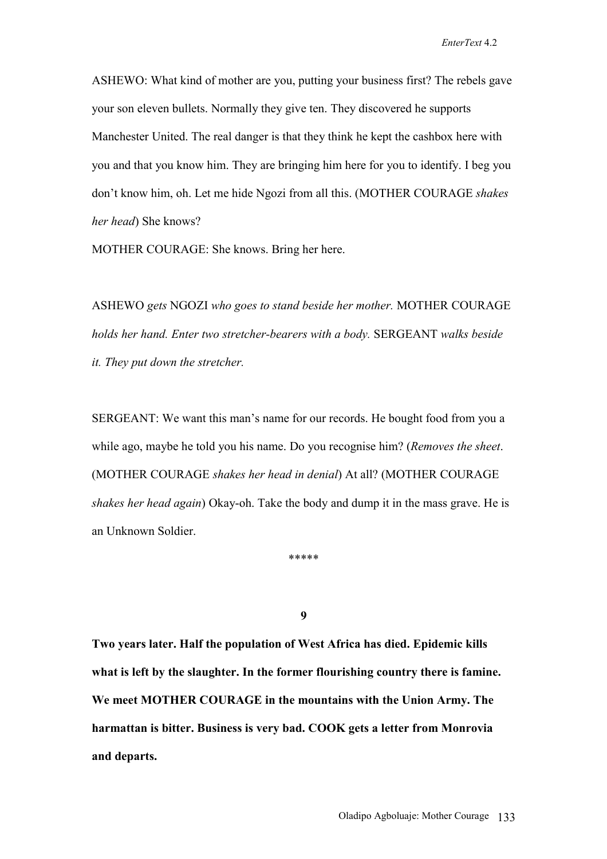ASHEWO: What kind of mother are you, putting your business first? The rebels gave your son eleven bullets. Normally they give ten. They discovered he supports Manchester United. The real danger is that they think he kept the cashbox here with you and that you know him. They are bringing him here for you to identify. I beg you don't know him, oh. Let me hide Ngozi from all this. (MOTHER COURAGE *shakes her head*) She knows?

MOTHER COURAGE: She knows. Bring her here.

ASHEWO *gets* NGOZI *who goes to stand beside her mother.* MOTHER COURAGE *holds her hand. Enter two stretcher-bearers with a body.* SERGEANT *walks beside it. They put down the stretcher.* 

SERGEANT: We want this man's name for our records. He bought food from you a while ago, maybe he told you his name. Do you recognise him? (*Removes the sheet*. (MOTHER COURAGE *shakes her head in denial*) At all? (MOTHER COURAGE *shakes her head again*) Okay-oh. Take the body and dump it in the mass grave. He is an Unknown Soldier.

\*\*\*\*\*

**9** 

**Two years later. Half the population of West Africa has died. Epidemic kills what is left by the slaughter. In the former flourishing country there is famine. We meet MOTHER COURAGE in the mountains with the Union Army. The harmattan is bitter. Business is very bad. COOK gets a letter from Monrovia and departs.**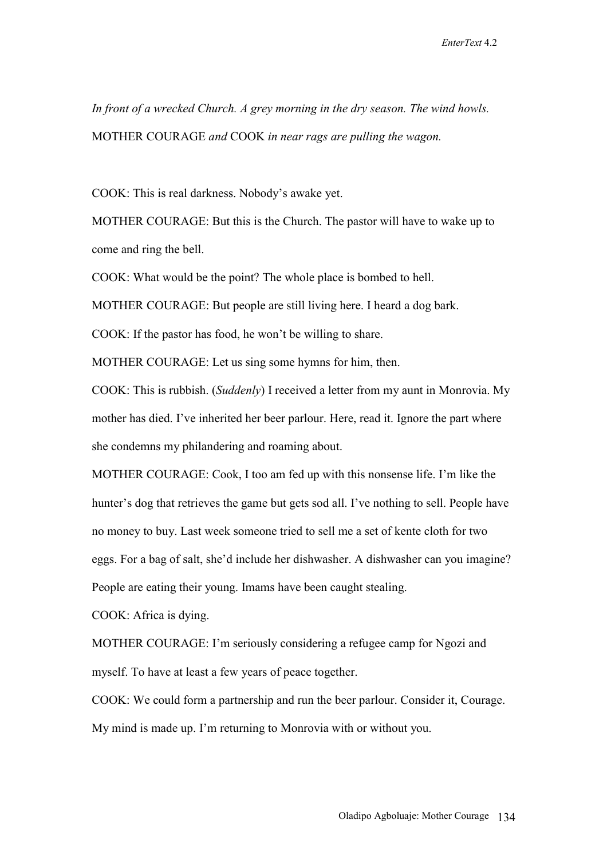*In front of a wrecked Church. A grey morning in the dry season. The wind howls.*  MOTHER COURAGE *and* COOK *in near rags are pulling the wagon.*

COOK: This is real darkness. Nobody's awake yet.

MOTHER COURAGE: But this is the Church. The pastor will have to wake up to come and ring the bell.

COOK: What would be the point? The whole place is bombed to hell.

MOTHER COURAGE: But people are still living here. I heard a dog bark.

COOK: If the pastor has food, he won't be willing to share.

MOTHER COURAGE: Let us sing some hymns for him, then.

COOK: This is rubbish. (*Suddenly*) I received a letter from my aunt in Monrovia. My mother has died. I've inherited her beer parlour. Here, read it. Ignore the part where she condemns my philandering and roaming about.

MOTHER COURAGE: Cook, I too am fed up with this nonsense life. I'm like the hunter's dog that retrieves the game but gets sod all. I've nothing to sell. People have no money to buy. Last week someone tried to sell me a set of kente cloth for two eggs. For a bag of salt, she'd include her dishwasher. A dishwasher can you imagine? People are eating their young. Imams have been caught stealing.

COOK: Africa is dying.

MOTHER COURAGE: I'm seriously considering a refugee camp for Ngozi and myself. To have at least a few years of peace together.

COOK: We could form a partnership and run the beer parlour. Consider it, Courage. My mind is made up. I'm returning to Monrovia with or without you.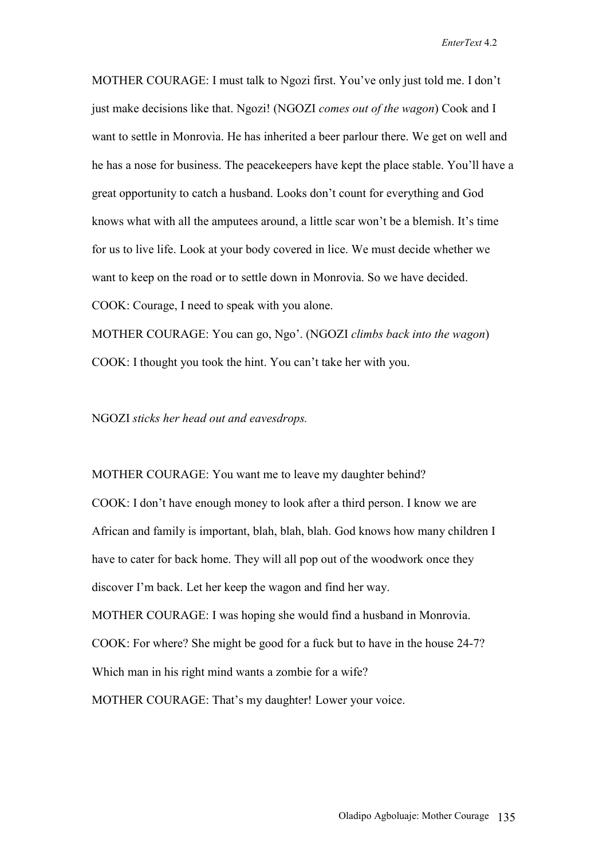MOTHER COURAGE: I must talk to Ngozi first. You've only just told me. I don't just make decisions like that. Ngozi! (NGOZI *comes out of the wagon*) Cook and I want to settle in Monrovia. He has inherited a beer parlour there. We get on well and he has a nose for business. The peacekeepers have kept the place stable. You'll have a great opportunity to catch a husband. Looks don't count for everything and God knows what with all the amputees around, a little scar won't be a blemish. It's time for us to live life. Look at your body covered in lice. We must decide whether we want to keep on the road or to settle down in Monrovia. So we have decided. COOK: Courage, I need to speak with you alone.

MOTHER COURAGE: You can go, Ngo'. (NGOZI *climbs back into the wagon*) COOK: I thought you took the hint. You can't take her with you.

NGOZI *sticks her head out and eavesdrops.*

MOTHER COURAGE: You want me to leave my daughter behind? COOK: I don't have enough money to look after a third person. I know we are African and family is important, blah, blah, blah. God knows how many children I have to cater for back home. They will all pop out of the woodwork once they discover I'm back. Let her keep the wagon and find her way. MOTHER COURAGE: I was hoping she would find a husband in Monrovia. COOK: For where? She might be good for a fuck but to have in the house 24-7? Which man in his right mind wants a zombie for a wife? MOTHER COURAGE: That's my daughter! Lower your voice.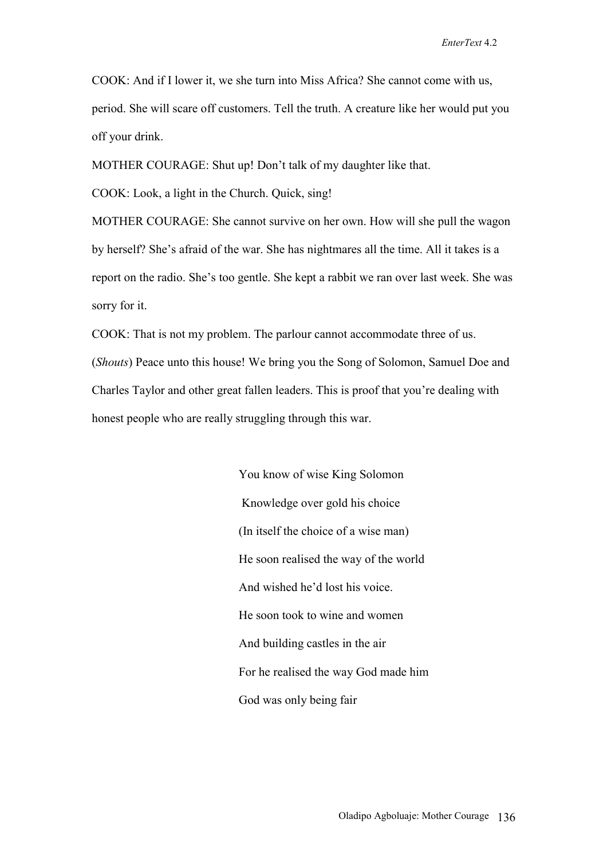COOK: And if I lower it, we she turn into Miss Africa? She cannot come with us, period. She will scare off customers. Tell the truth. A creature like her would put you off your drink.

MOTHER COURAGE: Shut up! Don't talk of my daughter like that.

COOK: Look, a light in the Church. Quick, sing!

MOTHER COURAGE: She cannot survive on her own. How will she pull the wagon by herself? She's afraid of the war. She has nightmares all the time. All it takes is a report on the radio. She's too gentle. She kept a rabbit we ran over last week. She was sorry for it.

COOK: That is not my problem. The parlour cannot accommodate three of us. (*Shouts*) Peace unto this house! We bring you the Song of Solomon, Samuel Doe and Charles Taylor and other great fallen leaders. This is proof that you're dealing with honest people who are really struggling through this war.

> You know of wise King Solomon Knowledge over gold his choice (In itself the choice of a wise man) He soon realised the way of the world And wished he'd lost his voice. He soon took to wine and women And building castles in the air For he realised the way God made him God was only being fair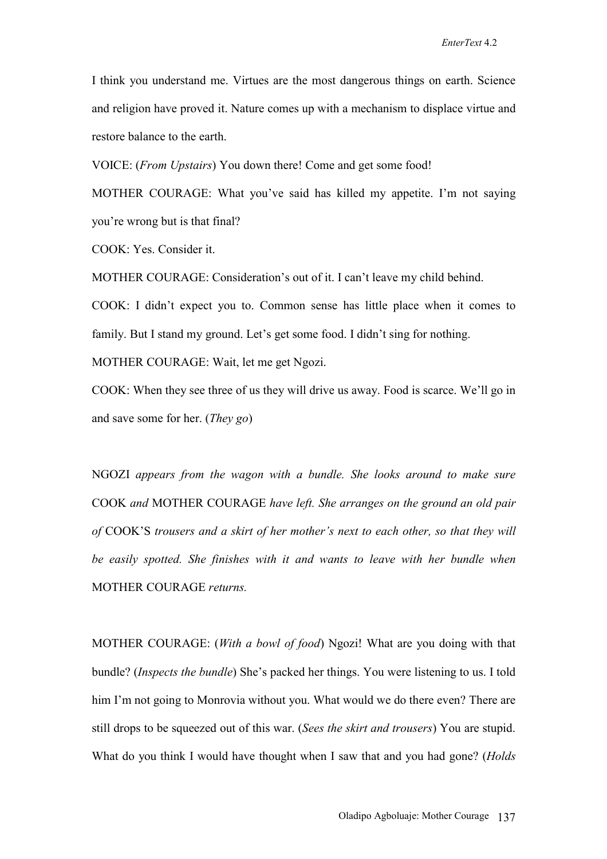I think you understand me. Virtues are the most dangerous things on earth. Science and religion have proved it. Nature comes up with a mechanism to displace virtue and restore balance to the earth.

VOICE: (*From Upstairs*) You down there! Come and get some food!

MOTHER COURAGE: What you've said has killed my appetite. I'm not saying you're wrong but is that final?

COOK: Yes. Consider it.

MOTHER COURAGE: Consideration's out of it. I can't leave my child behind.

COOK: I didn't expect you to. Common sense has little place when it comes to family. But I stand my ground. Let's get some food. I didn't sing for nothing.

MOTHER COURAGE: Wait, let me get Ngozi.

COOK: When they see three of us they will drive us away. Food is scarce. We'll go in and save some for her. (*They go*)

NGOZI *appears from the wagon with a bundle. She looks around to make sure*  COOK *and* MOTHER COURAGE *have left. She arranges on the ground an old pair of* COOK'S *trousers and a skirt of her mother's next to each other, so that they will be easily spotted. She finishes with it and wants to leave with her bundle when*  MOTHER COURAGE *returns.*

MOTHER COURAGE: (*With a bowl of food*) Ngozi! What are you doing with that bundle? (*Inspects the bundle*) She's packed her things. You were listening to us. I told him I'm not going to Monrovia without you. What would we do there even? There are still drops to be squeezed out of this war. (*Sees the skirt and trousers*) You are stupid. What do you think I would have thought when I saw that and you had gone? (*Holds*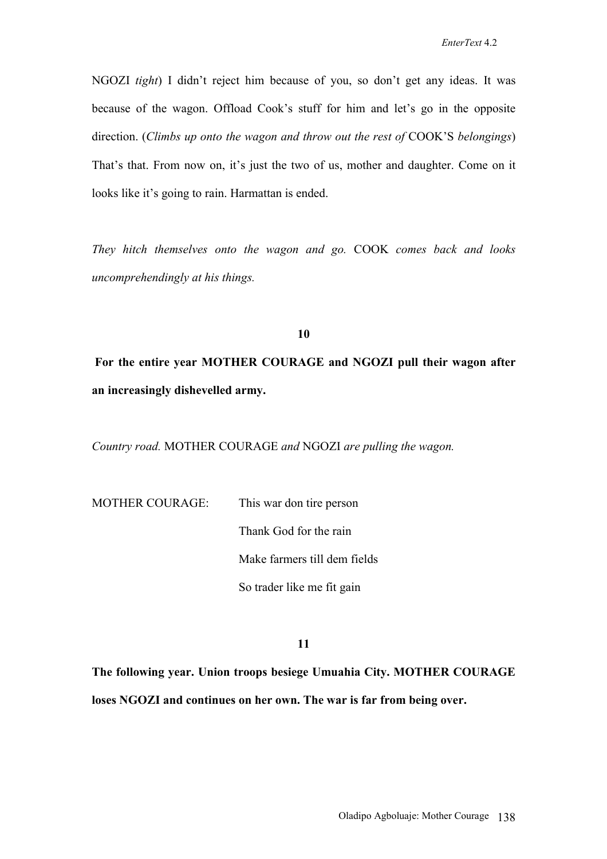NGOZI *tight*) I didn't reject him because of you, so don't get any ideas. It was because of the wagon. Offload Cook's stuff for him and let's go in the opposite direction. (*Climbs up onto the wagon and throw out the rest of* COOK'S *belongings*) That's that. From now on, it's just the two of us, mother and daughter. Come on it looks like it's going to rain. Harmattan is ended.

*They hitch themselves onto the wagon and go.* COOK *comes back and looks uncomprehendingly at his things.* 

**For the entire year MOTHER COURAGE and NGOZI pull their wagon after an increasingly dishevelled army.** 

**10** 

*Country road.* MOTHER COURAGE *and* NGOZI *are pulling the wagon.*

| MOTHER COURAGE: | This war don tire person     |
|-----------------|------------------------------|
|                 | Thank God for the rain       |
|                 | Make farmers till dem fields |
|                 | So trader like me fit gain   |

**11** 

**The following year. Union troops besiege Umuahia City. MOTHER COURAGE loses NGOZI and continues on her own. The war is far from being over.**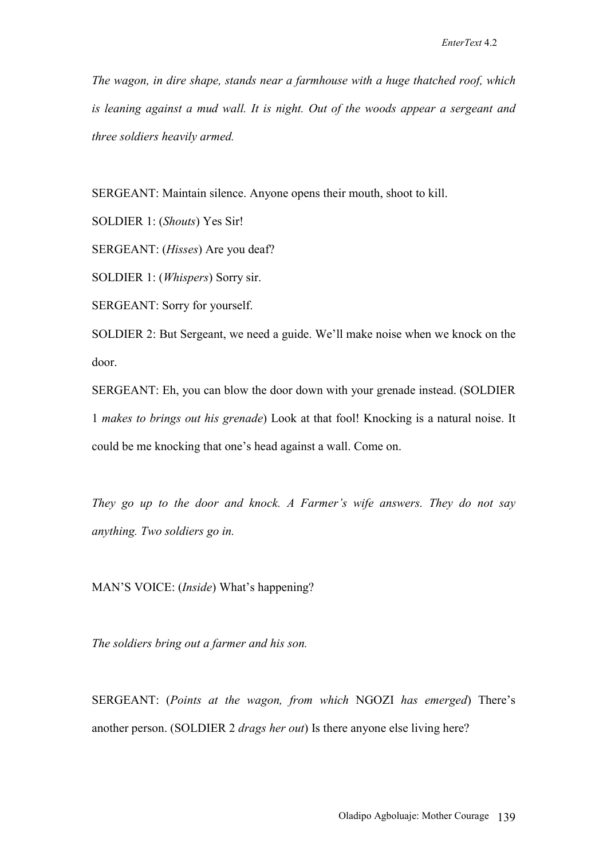*The wagon, in dire shape, stands near a farmhouse with a huge thatched roof, which is leaning against a mud wall. It is night. Out of the woods appear a sergeant and three soldiers heavily armed.*

SERGEANT: Maintain silence. Anyone opens their mouth, shoot to kill.

SOLDIER 1: (*Shouts*) Yes Sir!

SERGEANT: (*Hisses*) Are you deaf?

SOLDIER 1: (*Whispers*) Sorry sir.

SERGEANT: Sorry for yourself.

SOLDIER 2: But Sergeant, we need a guide. We'll make noise when we knock on the door.

SERGEANT: Eh, you can blow the door down with your grenade instead. (SOLDIER 1 *makes to brings out his grenade*) Look at that fool! Knocking is a natural noise. It could be me knocking that one's head against a wall. Come on.

*They go up to the door and knock. A Farmer's wife answers. They do not say anything. Two soldiers go in.* 

MAN'S VOICE: (*Inside*) What's happening?

*The soldiers bring out a farmer and his son.* 

SERGEANT: (*Points at the wagon, from which* NGOZI *has emerged*) There's another person. (SOLDIER 2 *drags her out*) Is there anyone else living here?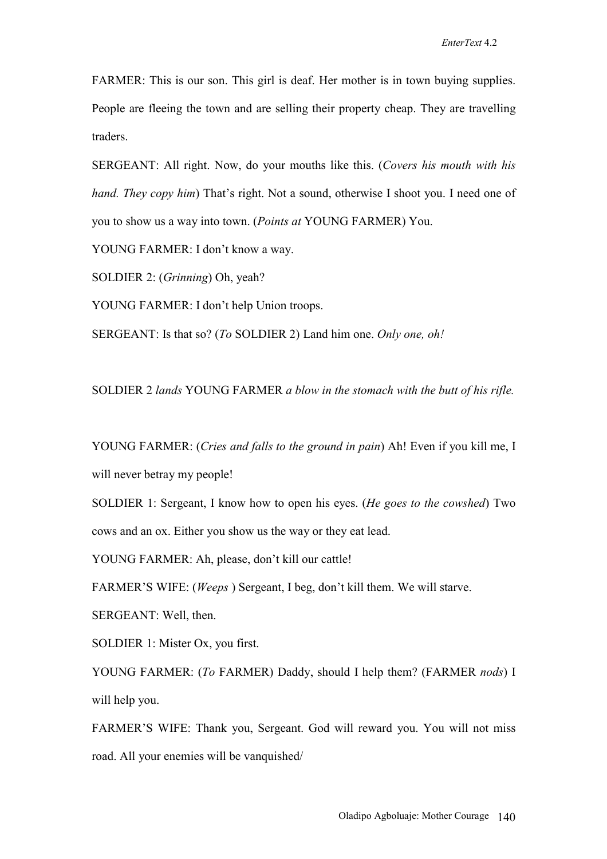FARMER: This is our son. This girl is deaf. Her mother is in town buying supplies. People are fleeing the town and are selling their property cheap. They are travelling traders.

SERGEANT: All right. Now, do your mouths like this. (*Covers his mouth with his hand. They copy him*) That's right. Not a sound, otherwise I shoot you. I need one of you to show us a way into town. (*Points at* YOUNG FARMER) You.

YOUNG FARMER: I don't know a way.

SOLDIER 2: (*Grinning*) Oh, yeah?

YOUNG FARMER: I don't help Union troops.

SERGEANT: Is that so? (*To* SOLDIER 2) Land him one. *Only one, oh!*

SOLDIER 2 *lands* YOUNG FARMER *a blow in the stomach with the butt of his rifle.*

YOUNG FARMER: (*Cries and falls to the ground in pain*) Ah! Even if you kill me, I will never betray my people!

SOLDIER 1: Sergeant, I know how to open his eyes. (*He goes to the cowshed*) Two cows and an ox. Either you show us the way or they eat lead.

YOUNG FARMER: Ah, please, don't kill our cattle!

FARMER'S WIFE: (*Weeps* ) Sergeant, I beg, don't kill them. We will starve.

SERGEANT: Well, then.

SOLDIER 1: Mister Ox, you first.

YOUNG FARMER: (*To* FARMER) Daddy, should I help them? (FARMER *nods*) I will help you.

FARMER'S WIFE: Thank you, Sergeant. God will reward you. You will not miss road. All your enemies will be vanquished/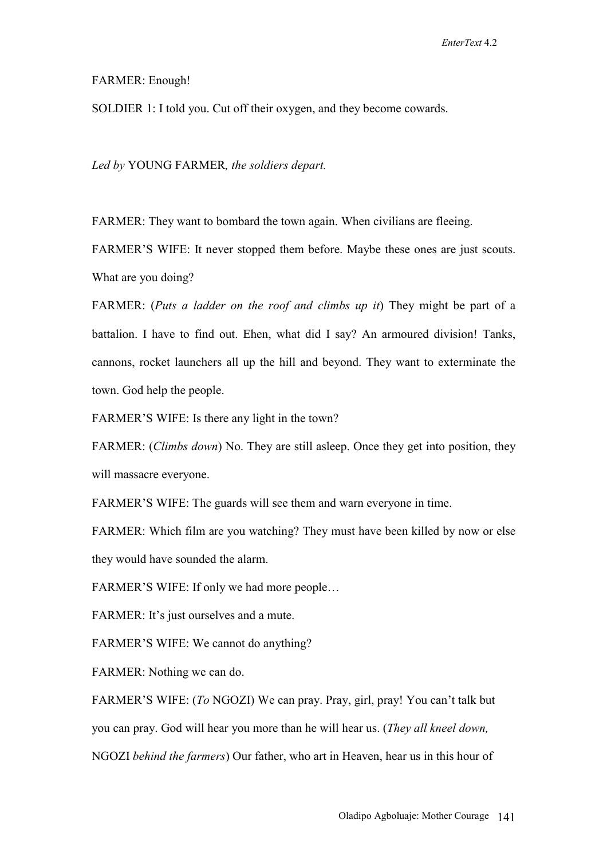### FARMER: Enough!

SOLDIER 1: I told you. Cut off their oxygen, and they become cowards.

*Led by* YOUNG FARMER*, the soldiers depart.* 

FARMER: They want to bombard the town again. When civilians are fleeing.

FARMER'S WIFE: It never stopped them before. Maybe these ones are just scouts. What are you doing?

FARMER: (*Puts a ladder on the roof and climbs up it*) They might be part of a battalion. I have to find out. Ehen, what did I say? An armoured division! Tanks, cannons, rocket launchers all up the hill and beyond. They want to exterminate the town. God help the people.

FARMER'S WIFE: Is there any light in the town?

FARMER: (*Climbs down*) No. They are still asleep. Once they get into position, they will massacre everyone.

FARMER'S WIFE: The guards will see them and warn everyone in time.

FARMER: Which film are you watching? They must have been killed by now or else they would have sounded the alarm.

FARMER'S WIFE: If only we had more people…

FARMER: It's just ourselves and a mute.

FARMER'S WIFE: We cannot do anything?

FARMER: Nothing we can do.

FARMER'S WIFE: (*To* NGOZI) We can pray. Pray, girl, pray! You can't talk but you can pray. God will hear you more than he will hear us. (*They all kneel down,*  NGOZI *behind the farmers*) Our father, who art in Heaven, hear us in this hour of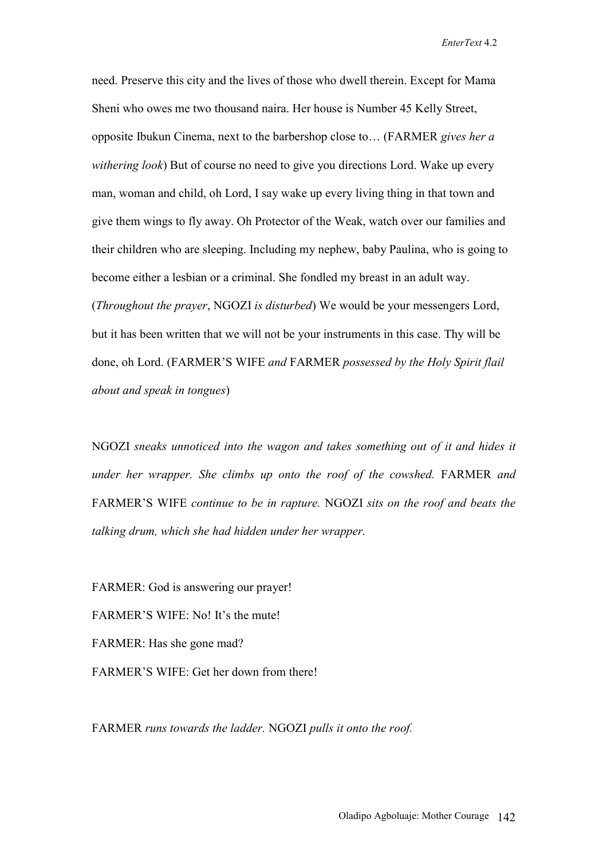*EnterText* 4.2

need. Preserve this city and the lives of those who dwell therein. Except for Mama Sheni who owes me two thousand naira. Her house is Number 45 Kelly Street, opposite Ibukun Cinema, next to the barbershop close to… (FARMER *gives her a withering look*) But of course no need to give you directions Lord. Wake up every man, woman and child, oh Lord, I say wake up every living thing in that town and give them wings to fly away. Oh Protector of the Weak, watch over our families and their children who are sleeping. Including my nephew, baby Paulina, who is going to become either a lesbian or a criminal. She fondled my breast in an adult way. (*Throughout the prayer*, NGOZI *is disturbed*) We would be your messengers Lord, but it has been written that we will not be your instruments in this case. Thy will be done, oh Lord. (FARMER'S WIFE *and* FARMER *possessed by the Holy Spirit flail about and speak in tongues*)

NGOZI *sneaks unnoticed into the wagon and takes something out of it and hides it under her wrapper. She climbs up onto the roof of the cowshed.* FARMER *and* FARMER'S WIFE *continue to be in rapture.* NGOZI *sits on the roof and beats the talking drum, which she had hidden under her wrapper.*

FARMER: God is answering our prayer! FARMER'S WIFE: No! It's the mute! FARMER: Has she gone mad? FARMER'S WIFE: Get her down from there!

FARMER *runs towards the ladder.* NGOZI *pulls it onto the roof.*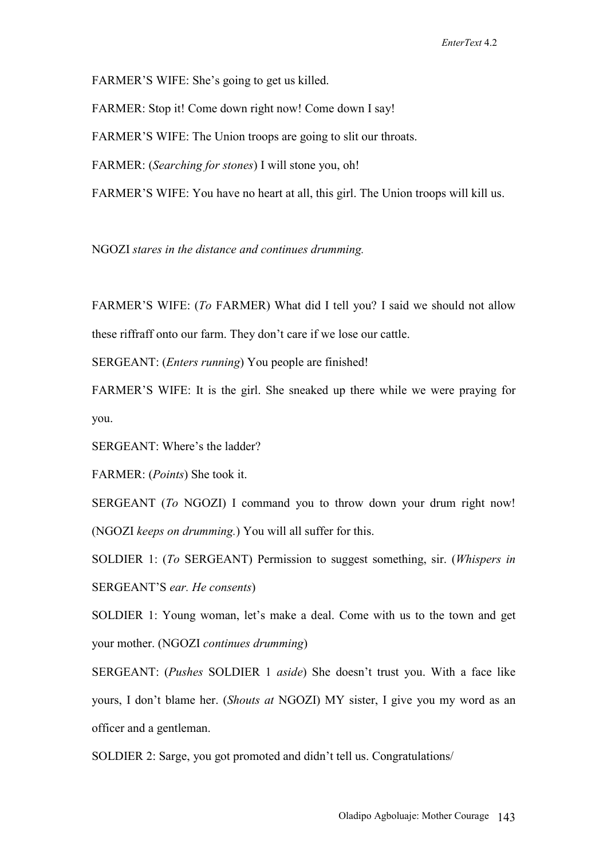FARMER'S WIFE: She's going to get us killed.

FARMER: Stop it! Come down right now! Come down I say! FARMER'S WIFE: The Union troops are going to slit our throats.

FARMER: (*Searching for stones*) I will stone you, oh!

FARMER'S WIFE: You have no heart at all, this girl. The Union troops will kill us.

NGOZI *stares in the distance and continues drumming.*

FARMER'S WIFE: (*To* FARMER) What did I tell you? I said we should not allow these riffraff onto our farm. They don't care if we lose our cattle.

SERGEANT: (*Enters running*) You people are finished!

FARMER'S WIFE: It is the girl. She sneaked up there while we were praying for you.

SERGEANT: Where's the ladder?

FARMER: (*Points*) She took it.

SERGEANT (*To* NGOZI) I command you to throw down your drum right now! (NGOZI *keeps on drumming.*) You will all suffer for this.

SOLDIER 1: (*To* SERGEANT) Permission to suggest something, sir. (*Whispers in* SERGEANT'S *ear. He consents*)

SOLDIER 1: Young woman, let's make a deal. Come with us to the town and get your mother. (NGOZI *continues drumming*)

SERGEANT: (*Pushes* SOLDIER 1 *aside*) She doesn't trust you. With a face like yours, I don't blame her. (*Shouts at* NGOZI) MY sister, I give you my word as an officer and a gentleman.

SOLDIER 2: Sarge, you got promoted and didn't tell us. Congratulations/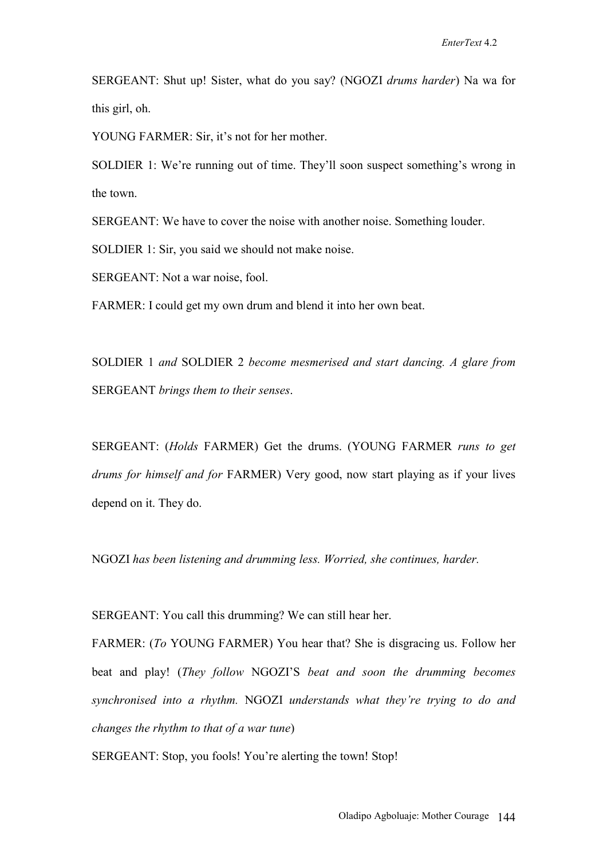SERGEANT: Shut up! Sister, what do you say? (NGOZI *drums harder*) Na wa for this girl, oh.

YOUNG FARMER: Sir, it's not for her mother.

SOLDIER 1: We're running out of time. They'll soon suspect something's wrong in the town.

SERGEANT: We have to cover the noise with another noise. Something louder.

SOLDIER 1: Sir, you said we should not make noise.

SERGEANT: Not a war noise, fool.

FARMER: I could get my own drum and blend it into her own beat.

SOLDIER 1 *and* SOLDIER 2 *become mesmerised and start dancing. A glare from*  SERGEANT *brings them to their senses*.

SERGEANT: (*Holds* FARMER) Get the drums. (YOUNG FARMER *runs to get drums for himself and for* FARMER) Very good, now start playing as if your lives depend on it. They do.

NGOZI *has been listening and drumming less. Worried, she continues, harder.*

SERGEANT: You call this drumming? We can still hear her.

FARMER: (*To* YOUNG FARMER) You hear that? She is disgracing us. Follow her beat and play! (*They follow* NGOZI'S *beat and soon the drumming becomes synchronised into a rhythm.* NGOZI *understands what they're trying to do and changes the rhythm to that of a war tune*)

SERGEANT: Stop, you fools! You're alerting the town! Stop!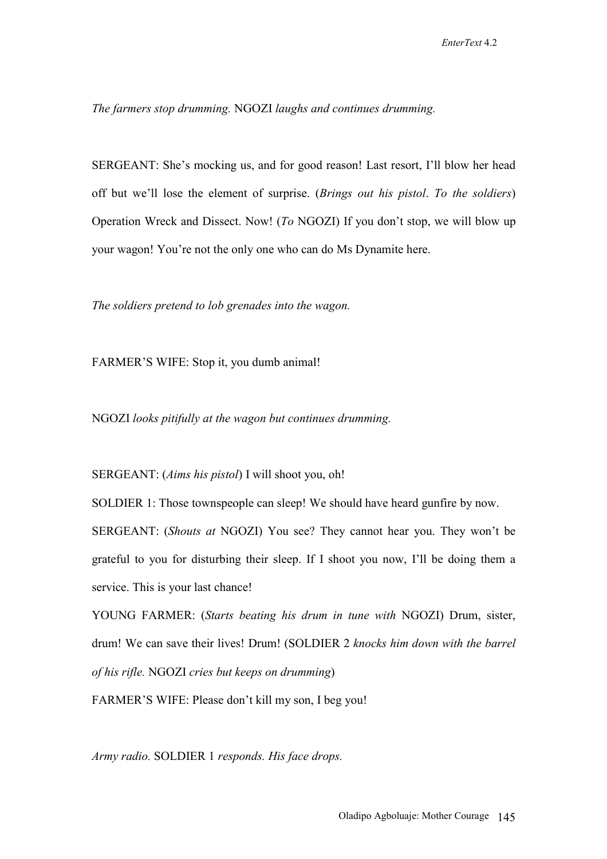*The farmers stop drumming.* NGOZI *laughs and continues drumming.* 

SERGEANT: She's mocking us, and for good reason! Last resort, I'll blow her head off but we'll lose the element of surprise. (*Brings out his pistol*. *To the soldiers*) Operation Wreck and Dissect. Now! (*To* NGOZI) If you don't stop, we will blow up your wagon! You're not the only one who can do Ms Dynamite here.

*The soldiers pretend to lob grenades into the wagon.*

FARMER'S WIFE: Stop it, you dumb animal!

NGOZI *looks pitifully at the wagon but continues drumming.*

SERGEANT: (*Aims his pistol*) I will shoot you, oh!

SOLDIER 1: Those townspeople can sleep! We should have heard gunfire by now. SERGEANT: (*Shouts at* NGOZI) You see? They cannot hear you. They won't be grateful to you for disturbing their sleep. If I shoot you now, I'll be doing them a service. This is your last chance!

YOUNG FARMER: (*Starts beating his drum in tune with* NGOZI) Drum, sister, drum! We can save their lives! Drum! (SOLDIER 2 *knocks him down with the barrel of his rifle.* NGOZI *cries but keeps on drumming*)

FARMER'S WIFE: Please don't kill my son, I beg you!

*Army radio.* SOLDIER 1 *responds. His face drops.*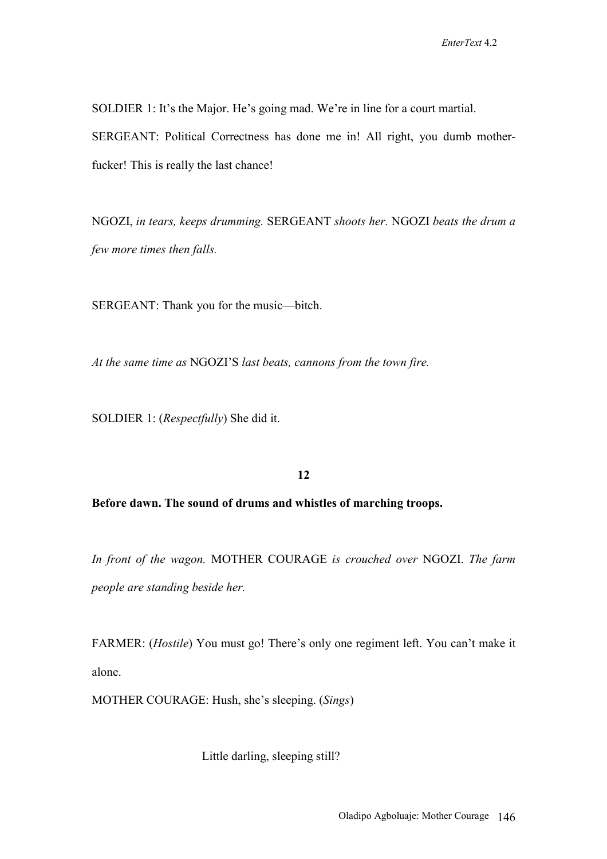SOLDIER 1: It's the Major. He's going mad. We're in line for a court martial. SERGEANT: Political Correctness has done me in! All right, you dumb motherfucker! This is really the last chance!

NGOZI, *in tears, keeps drumming.* SERGEANT *shoots her.* NGOZI *beats the drum a few more times then falls.* 

SERGEANT: Thank you for the music—bitch.

*At the same time as* NGOZI'S *last beats, cannons from the town fire.*

SOLDIER 1: (*Respectfully*) She did it.

### **12**

#### **Before dawn. The sound of drums and whistles of marching troops.**

*In front of the wagon.* MOTHER COURAGE *is crouched over* NGOZI. *The farm people are standing beside her.*

FARMER: (*Hostile*) You must go! There's only one regiment left. You can't make it alone.

MOTHER COURAGE: Hush, she's sleeping. (*Sings*)

Little darling, sleeping still?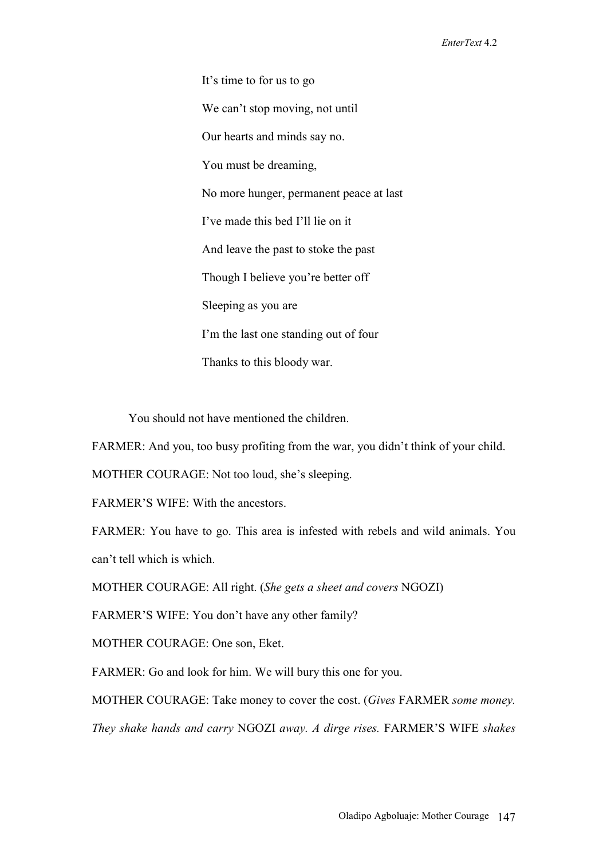It's time to for us to go We can't stop moving, not until Our hearts and minds say no. You must be dreaming, No more hunger, permanent peace at last I've made this bed I'll lie on it And leave the past to stoke the past Though I believe you're better off Sleeping as you are I'm the last one standing out of four Thanks to this bloody war.

You should not have mentioned the children.

FARMER: And you, too busy profiting from the war, you didn't think of your child.

MOTHER COURAGE: Not too loud, she's sleeping.

FARMER'S WIFE: With the ancestors.

FARMER: You have to go. This area is infested with rebels and wild animals. You can't tell which is which.

MOTHER COURAGE: All right. (*She gets a sheet and covers* NGOZI)

FARMER'S WIFE: You don't have any other family?

MOTHER COURAGE: One son, Eket.

FARMER: Go and look for him. We will bury this one for you.

MOTHER COURAGE: Take money to cover the cost. (*Gives* FARMER *some money.* 

*They shake hands and carry* NGOZI *away. A dirge rises.* FARMER'S WIFE *shakes*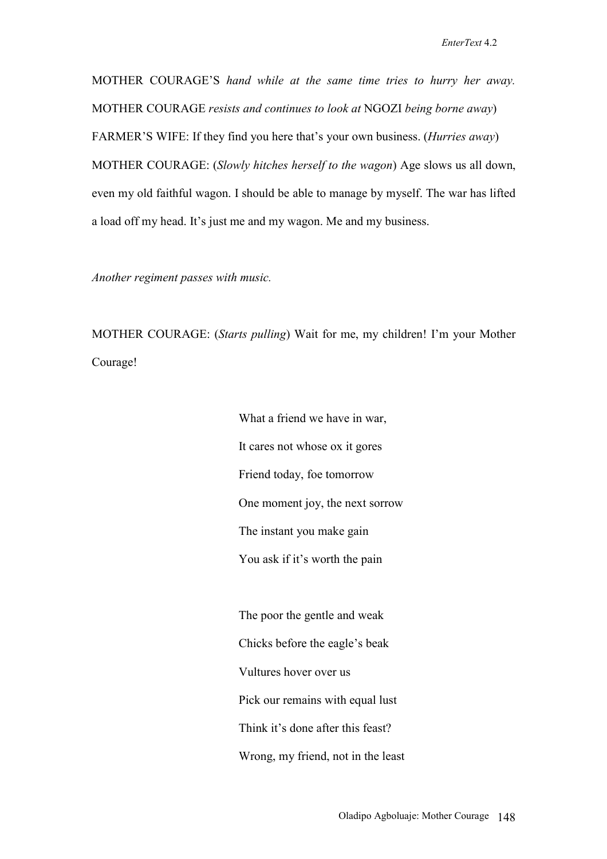MOTHER COURAGE'S *hand while at the same time tries to hurry her away.*  MOTHER COURAGE *resists and continues to look at* NGOZI *being borne away*) FARMER'S WIFE: If they find you here that's your own business. (*Hurries away*) MOTHER COURAGE: (*Slowly hitches herself to the wagon*) Age slows us all down, even my old faithful wagon. I should be able to manage by myself. The war has lifted a load off my head. It's just me and my wagon. Me and my business.

*Another regiment passes with music.*

MOTHER COURAGE: (*Starts pulling*) Wait for me, my children! I'm your Mother Courage!

> What a friend we have in war, It cares not whose ox it gores Friend today, foe tomorrow One moment joy, the next sorrow The instant you make gain You ask if it's worth the pain

> The poor the gentle and weak Chicks before the eagle's beak Vultures hover over us Pick our remains with equal lust Think it's done after this feast? Wrong, my friend, not in the least